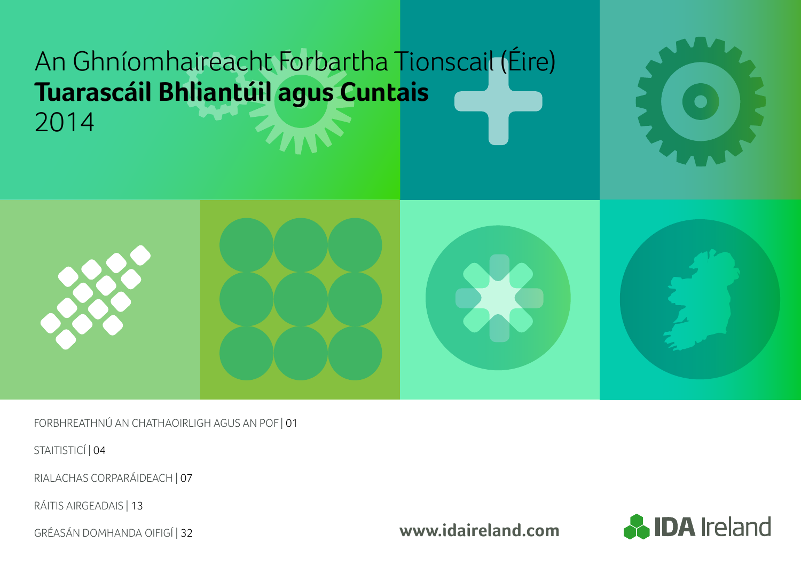# An Ghníomhaireacht Forbartha Tionscail (Éire) **Tuarascáil Bhliantúil agus Cuntais** 2014



FORBHREATHNÚ AN CHATHAOIRLIGH AGUS AN POF | 01

STAITISTICÍ | 04

RIALACHAS CORPARÁIDEACH | 07

RÁITIS AIRGEADAIS | 13

GRÉASÁN DOMHANDA OIFIGÍ | 32

**www.idaireland.com**

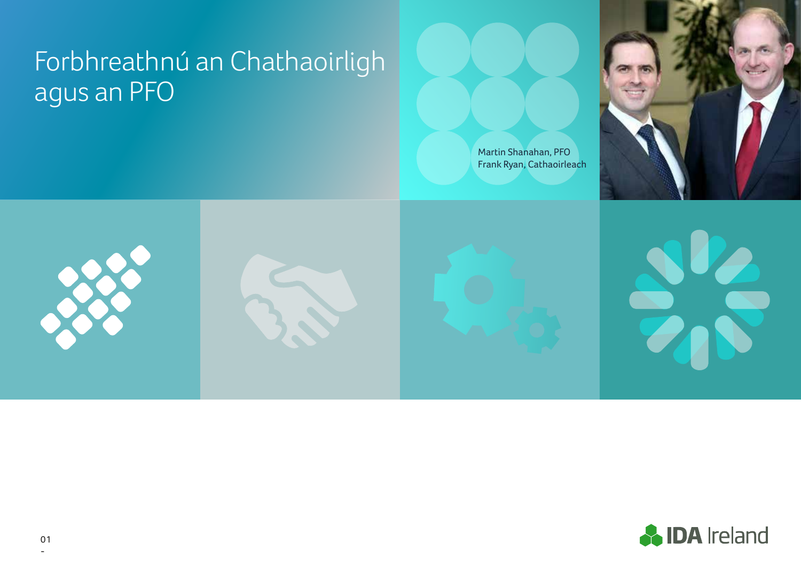# Forbhreathnú an Chathaoirligh agus an PFO







Martin Shanahan, PFO



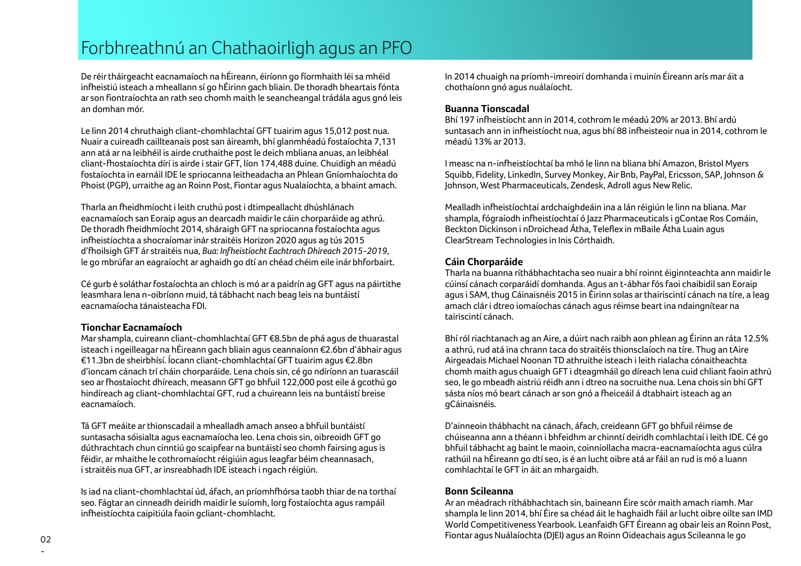## Forbhreathnú an Chathaoirligh agus an PFO

De réir tháirgeacht eacnamaíoch na hÉireann, éiríonn go fíormhaith léi sa mhéid infheistiú isteach a mheallann sí go hÉirinn gach bliain. De thoradh bheartais fónta ar son fiontraíochta an rath seo chomh maith le seancheangal trádála agus gnó leis an domhan mór.

Le linn 2014 chruthaigh cliant-chomhlachtaí GFT tuairim agus 15,012 post nua. Nuair a cuireadh caillteanais post san áireamh, bhí glanmhéadú fostaíochta 7,131 ann atá ar na leibhéil is airde cruthaithe post le deich mbliana anuas, an leibhéal cliant-fhostaíochta dírí is airde i stair GFT, líon 174,488 duine. Chuidigh an méadú fostaíochta in earnáil IDE le spriocanna leitheadacha an Phlean Gníomhaíochta do Phoist (PGP), urraithe ag an Roinn Post, Fiontar agus Nualaíochta, a bhaint amach.

Tharla an fheidhmíocht i leith cruthú post i dtimpeallacht dhúshlánach eacnamaíoch san Eoraip agus an dearcadh maidir le cáin chorparáide ag athrú. De thoradh fheidhmíocht 2014, sháraigh GFT na spriocanna fostaíochta agus infheistíochta a shocraíomar inár straitéis Horizon 2020 agus ag tús 2015 d'fhoilsigh GFT ár straitéis nua, *Bua: Infheistíocht Eachtrach Dhíreach 2015-2019,* le go mbrúfar an eagraíocht ar aghaidh go dtí an chéad chéim eile inár bhforbairt.

Cé gurb é soláthar fostaíochta an chloch is mó ar a paidrín ag GFT agus na páirtithe leasmhara lena n-oibríonn muid, tá tábhacht nach beag leis na buntáistí eacnamaíocha tánaisteacha FDI.

### **Tionchar Eacnamaíoch**

Mar shampla, cuireann cliant-chomhlachtaí GFT €8.5bn de phá agus de thuarastal isteach i ngeilleagar na hÉireann gach bliain agus ceannaíonn €2.6bn d'ábhair agus €11.3bn de sheirbhísí. Íocann cliant-chomhlachtaí GFT tuairim agus €2.8bn d'ioncam cánach trí cháin chorparáide. Lena chois sin, cé go ndíríonn an tuarascáil seo ar fhostaíocht dhíreach, measann GFT go bhfuil 122,000 post eile á gcothú go hindíreach ag cliant-chomhlachtaí GFT, rud a chuireann leis na buntáistí breise eacnamaíoch.

Tá GFT meáite ar thionscadail a mhealladh amach anseo a bhfuil buntáistí suntasacha sóisialta agus eacnamaíocha leo. Lena chois sin, oibreoidh GFT go dúthrachtach chun cinntiú go scaipfear na buntáistí seo chomh fairsing agus is féidir, ar mhaithe le cothromaíocht réigiúin agus leagfar béim cheannasach, i straitéis nua GFT, ar insreabhadh IDE isteach i ngach réigiún.

Is iad na cliant-chomhlachtaí úd, áfach, an príomhfhórsa taobh thiar de na torthaí seo. Fágtar an cinneadh deiridh maidir le suíomh, lorg fostaíochta agus rampáil infheistíochta caipitiúla faoin gcliant-chomhlacht.

In 2014 chuaigh na príomh-imreoirí domhanda i muinín Éireann arís mar áit a chothaíonn gnó agus nuálaíocht.

### **Buanna Tionscadal**

Bhí 197 infheistíocht ann in 2014, cothrom le méadú 20% ar 2013. Bhí ardú suntasach ann in infheistíocht nua, agus bhí 88 infheisteoir nua in 2014, cothrom le méadú 13% ar 2013.

I measc na n-infheistíochtaí ba mhó le linn na bliana bhí Amazon, Bristol Myers Squibb, Fidelity, LinkedIn, Survey Monkey, Air Bnb, PayPal, Ericsson, SAP, Johnson & Johnson, West Pharmaceuticals, Zendesk, Adroll agus New Relic.

Mealladh infheistíochtaí ardchaighdeáin ina a lán réigiún le linn na bliana. Mar shampla, fógraíodh infheistíochtaí ó Jazz Pharmaceuticals i gContae Ros Comáin, Beckton Dickinson i nDroichead Átha, Teleflex in mBaile Átha Luain agus ClearStream Technologies in Inis Córthaidh.

### **Cáin Chorparáide**

Tharla na buanna ríthábhachtacha seo nuair a bhí roinnt éiginnteachta ann maidir le cúinsí cánach corparáidí domhanda. Agus an t-ábhar fós faoi chaibidil san Eoraip agus i SAM, thug Cáinaisnéis 2015 in Éirinn solas ar thairiscintí cánach na tíre, a leag amach clár i dtreo iomaíochas cánach agus réimse beart ina ndaingnítear na tairiscintí cánach.

Bhí ról riachtanach ag an Aire, a dúirt nach raibh aon phlean ag Éirinn an ráta 12.5% a athrú, rud atá ina chrann taca do straitéis thionsclaíoch na tíre. Thug an tAire Airgeadais Michael Noonan TD athruithe isteach i leith rialacha cónaitheachta chomh maith agus chuaigh GFT i dteagmháil go díreach lena cuid chliant faoin athrú seo, le go mbeadh aistriú réidh ann i dtreo na socruithe nua. Lena chois sin bhí GFT sásta níos mó beart cánach ar son gnó a fheiceáil á dtabhairt isteach ag an gCáinaisnéis.

D'ainneoin thábhacht na cánach, áfach, creideann GFT go bhfuil réimse de chúiseanna ann a théann i bhfeidhm ar chinntí deiridh comhlachtaí i leith IDE. Cé go bhfuil tábhacht ag baint le maoin, coinníollacha macra-eacnamaíochta agus cúlra rathúil na hÉireann go dtí seo, is é an lucht oibre atá ar fáil an rud is mó a luann comhlachtaí le GFT in áit an mhargaidh.

### **Bonn Scileanna**

Ar an méadrach ríthábhachtach sin, baineann Éire scór maith amach riamh. Mar shampla le linn 2014, bhí Éire sa chéad áit le haghaidh fáil ar lucht oibre oilte san IMD World Competitiveness Yearbook. Leanfaidh GFT Éireann ag obair leis an Roinn Post, Fiontar agus Nuálaíochta (DJEI) agus an Roinn Oideachais agus Scileanna le go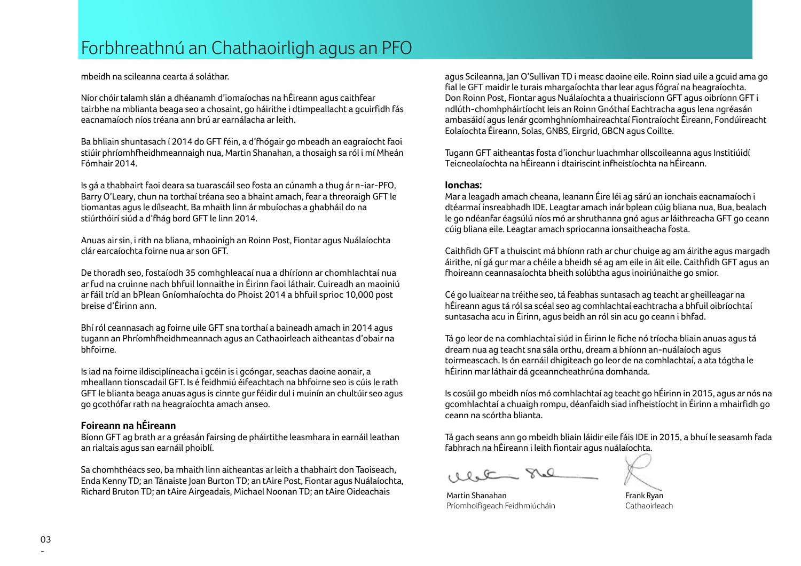mbeidh na scileanna cearta á soláthar.

Níor chóir talamh slán a dhéanamh d'iomaíochas na hÉireann agus caithfear tairbhe na mblianta beaga seo a chosaint, go háirithe i dtimpeallacht a gcuirfidh fás eacnamaíoch níos tréana ann brú ar earnálacha ar leith.

Ba bhliain shuntasach í 2014 do GFT féin, a d'fhógair go mbeadh an eagraíocht faoi stiúir phríomhfheidhmeannaigh nua, Martin Shanahan, a thosaigh sa ról i mí Mheán Fómhair 2014.

Is gá a thabhairt faoi deara sa tuarascáil seo fosta an cúnamh a thug ár n-iar-PFO, Barry O'Leary, chun na torthaí tréana seo a bhaint amach, fear a threoraigh GFT le tiomantas agus le dílseacht. Ba mhaith linn ár mbuíochas a ghabháil do na stiúrthóirí siúd a d'fhág bord GFT le linn 2014.

Anuas air sin, i rith na bliana, mhaoinigh an Roinn Post, Fiontar agus Nuálaíochta clár earcaíochta foirne nua ar son GFT.

De thoradh seo, fostaíodh 35 comhghleacaí nua a dhíríonn ar chomhlachtaí nua ar fud na cruinne nach bhfuil lonnaithe in Éirinn faoi láthair. Cuireadh an maoiniú ar fáil tríd an bPlean Gníomhaíochta do Phoist 2014 a bhfuil sprioc 10,000 post breise d'Éirinn ann.

Bhí ról ceannasach ag foirne uile GFT sna torthaí a baineadh amach in 2014 agus tugann an Phríomhfheidhmeannach agus an Cathaoirleach aitheantas d'obair na bhfoirne.

Is iad na foirne ildisciplíneacha i gcéin is i gcóngar, seachas daoine aonair, a mheallann tionscadail GFT. Is é feidhmiú éifeachtach na bhfoirne seo is cúis le rath GFT le blianta beaga anuas agus is cinnte gur féidir dul i muinín an chultúir seo agus go gcothófar rath na heagraíochta amach anseo.

### **Foireann na hÉireann**

Bíonn GFT ag brath ar a gréasán fairsing de pháirtithe leasmhara in earnáil leathan an rialtais agus san earnáil phoiblí.

Sa chomhthéacs seo, ba mhaith linn aitheantas ar leith a thabhairt don Taoiseach, Enda Kenny TD; an Tánaiste Joan Burton TD; an tAire Post, Fiontar agus Nuálaíochta, Richard Bruton TD; an tAire Airgeadais, Michael Noonan TD; an tAire Oideachais

agus Scileanna, Jan O'Sullivan TD i measc daoine eile. Roinn siad uile a gcuid ama go fial le GFT maidir le turais mhargaíochta thar lear agus fógraí na heagraíochta. Don Roinn Post, Fiontar agus Nuálaíochta a thuairiscíonn GFT agus oibríonn GFT i ndlúth-chomhpháirtíocht leis an Roinn Gnóthaí Eachtracha agus lena ngréasán ambasáidí agus lenár gcomhghníomhaireachtaí Fiontraíocht Éireann, Fondúireacht Eolaíochta Éireann, Solas, GNBS, Eirgrid, GBCN agus Coillte.

Tugann GFT aitheantas fosta d'ionchur luachmhar ollscoileanna agus Institiúidí Teicneolaíochta na hÉireann i dtairiscint infheistíochta na hÉireann.

### **Ionchas:**

Mar a leagadh amach cheana, leanann Éire léi ag sárú an ionchais eacnamaíoch i dtéarmaí insreabhadh IDE. Leagtar amach inár bplean cúig bliana nua, Bua, bealach le go ndéanfar éagsúlú níos mó ar shruthanna gnó agus ar láithreacha GFT go ceann cúig bliana eile. Leagtar amach spriocanna ionsaitheacha fosta.

Caithfidh GFT a thuiscint má bhíonn rath ar chur chuige ag am áirithe agus margadh áirithe, ní gá gur mar a chéile a bheidh sé ag am eile in áit eile. Caithfidh GFT agus an fhoireann ceannasaíochta bheith solúbtha agus inoiriúnaithe go smior.

Cé go luaitear na tréithe seo, tá feabhas suntasach ag teacht ar gheilleagar na hÉireann agus tá ról sa scéal seo ag comhlachtaí eachtracha a bhfuil oibríochtaí suntasacha acu in Éirinn, agus beidh an ról sin acu go ceann i bhfad.

Tá go leor de na comhlachtaí siúd in Éirinn le fiche nó tríocha bliain anuas agus tá dream nua ag teacht sna sála orthu, dream a bhíonn an-nuálaíoch agus toirmeascach. Is ón earnáil dhigiteach go leor de na comhlachtaí, a ata tógtha le hÉirinn mar láthair dá gceanncheathrúna domhanda.

Is cosúil go mbeidh níos mó comhlachtaí ag teacht go hÉirinn in 2015, agus ar nós na gcomhlachtaí a chuaigh rompu, déanfaidh siad infheistíocht in Éirinn a mhairfidh go ceann na scórtha blianta.

Tá gach seans ann go mbeidh bliain láidir eile fáis IDE in 2015, a bhuí le seasamh fada fabhrach na hÉireann i leith fiontair agus nuálaíochta.

 $RQ$ 

Martin Shanahan Príomhoifigeach Feidhmiúcháin

Frank Ryan Cathaoirleach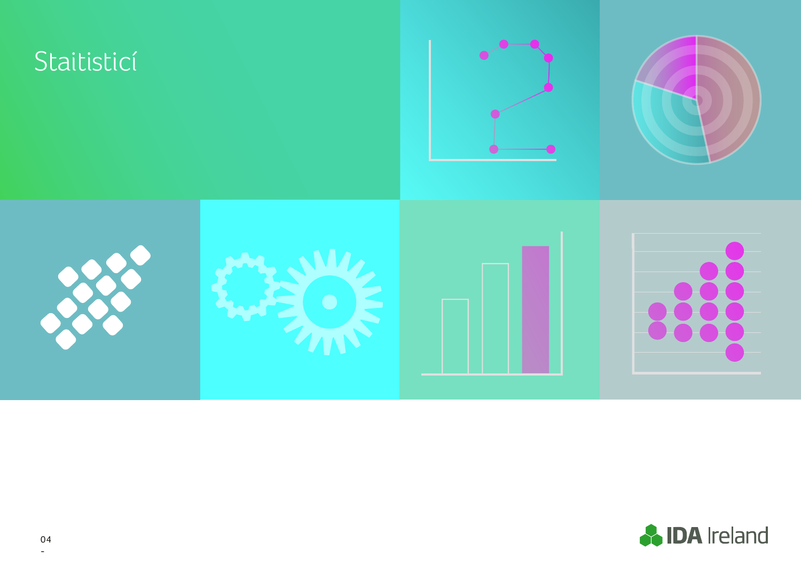

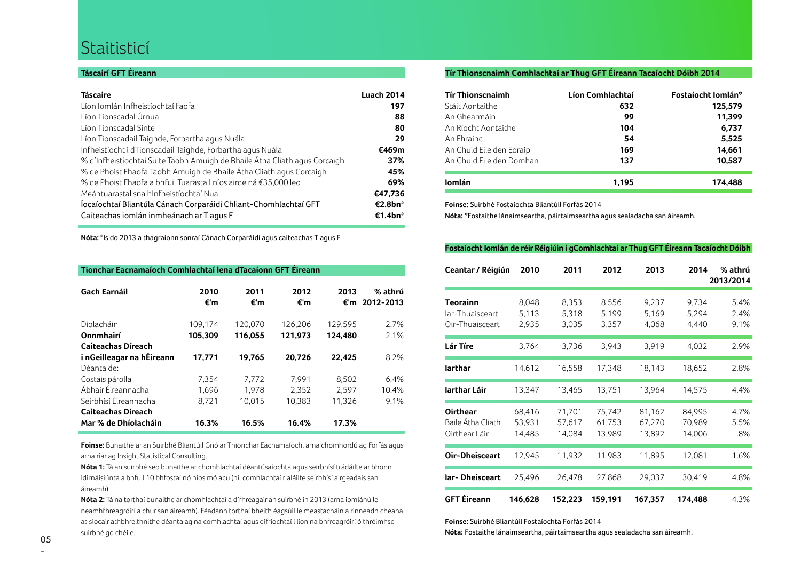### **Staitisticí**

### **Táscairí GFT Éireann**

| <b>Táscaire</b>                                                            | <b>Luach 2014</b>   |
|----------------------------------------------------------------------------|---------------------|
| Líon Iomlán Infheistíochtaí Faofa                                          | 197                 |
| Líon Tionscadal Úrnua                                                      | 88                  |
| Líon Tionscadal Sínte                                                      | 80                  |
| Líon Tionscadail Taighde, Forbartha agus Nuála                             | 29                  |
| Infheistíocht i dTionscadail Taighde, Forbartha agus Nuála                 | €469m               |
| % d'Infheistíochtaí Suite Taobh Amuigh de Bhaile Átha Cliath aqus Corcaigh | 37%                 |
| % de Phoist Fhaofa Taobh Amuigh de Bhaile Átha Cliath agus Corcaigh        | 45%                 |
| % de Phoist Fhaofa a bhfuil Tuarastail níos airde ná €35,000 leo           | 69%                 |
| Meántuarastal sna hInfheistíochtaí Nua                                     | €47,736             |
| Íocaíochtaí Bliantúla Cánach Corparáidí Chliant-Chomhlachtaí GFT           | €2.8bn <sup>*</sup> |
| Caiteachas iomlán inmheánach ar T agus F                                   | €1.4bn <sup>*</sup> |

**Nóta:** \*Is do 2013 a thagraíonn sonraí Cánach Corparáidí agus caiteachas T agus F

| Tionchar Eacnamaíoch Comhlachtaí lena dTacaíonn GFT Éireann |             |             |             |             |                      |
|-------------------------------------------------------------|-------------|-------------|-------------|-------------|----------------------|
| <b>Gach Earnáil</b>                                         | 2010<br>€'m | 2011<br>€'m | 2012<br>€'m | 2013<br>€'m | % athrú<br>2012-2013 |
| Díolacháin                                                  | 109,174     | 120,070     | 126,206     | 129,595     | 2.7%                 |
| Onnmhairí                                                   | 105,309     | 116,055     | 121,973     | 124.480     | 2.1%                 |
| Caiteachas Díreach                                          |             |             |             |             |                      |
| i nGeilleagar na hÉireann                                   | 17,771      | 19,765      | 20,726      | 22,425      | 8.2%                 |
| Déanta de:                                                  |             |             |             |             |                      |
| Costais párolla                                             | 7,354       | 7,772       | 7.991       | 8.502       | 6.4%                 |
| Ábhair Éireannacha                                          | 1,696       | 1,978       | 2,352       | 2,597       | 10.4%                |
| Seirbhísí Éireannacha                                       | 8.721       | 10,015      | 10.383      | 11.326      | 9.1%                 |
| Caiteachas Díreach                                          |             |             |             |             |                      |
| Mar % de Dhíolacháin                                        | 16.3%       | 16.5%       | 16.4%       | 17.3%       |                      |

**Foinse:** Bunaithe ar an Suirbhé Bliantúil Gnó ar Thionchar Eacnamaíoch, arna chomhordú ag Forfás agus arna riar ag Insight Statistical Consulting.

**Nóta 1:** Tá an suirbhé seo bunaithe ar chomhlachtaí déantúsaíochta agus seirbhísí trádáilte ar bhonn idirnáisiúnta a bhfuil 10 bhfostaí nó níos mó acu (níl comhlachtaí rialáilte seirbhísí airgeadais san áireamh).

**Nóta 2:** Tá na torthaí bunaithe ar chomhlachtaí a d'fhreagair an suirbhé in 2013 (arna iomlánú le neamhfhreagróirí a chur san áireamh). Féadann torthaí bheith éagsúil le meastacháin a rinneadh cheana as siocair athbhreithnithe déanta ag na comhlachtaí agus difríochtaí i líon na bhfreagróirí ó thréimhse suirbhé go chéile.

### **Tír Thionscnaimh Comhlachtaí ar Thug GFT Éireann Tacaíocht Dóibh 2014**

| <b>Tír Thionscnaimh</b>  | Líon Comhlachtaí | Fostaíocht Iomlán* |
|--------------------------|------------------|--------------------|
| Stáit Aontaithe          | 632              | 125,579            |
| An Ghearmáin             | 99               | 11,399             |
| An Ríocht Aontaithe      | 104              | 6,737              |
| An Fhrainc               | 54               | 5,525              |
| An Chuid Eile den Eoraip | 169              | 14,661             |
| An Chuid Eile den Domhan | 137              | 10,587             |
| lomlán                   | 1.195            | 174.488            |

**Foinse:** Suirbhé Fostaíochta Bliantúil Forfás 2014

**Nóta:** \*Fostaithe lánaimseartha, páirtaimseartha agus sealadacha san áireamh.

### **Fostaíocht Iomlán de réir Réigiúin i gComhlachtaí ar Thug GFT Éireann Tacaíocht Dóibh**

| Ceantar / Réigiún                                     | 2010                       | 2011                       | 2012                       | 2013                       | 2014                       | % athrú<br>2013/2014 |
|-------------------------------------------------------|----------------------------|----------------------------|----------------------------|----------------------------|----------------------------|----------------------|
| <b>Teorainn</b><br>lar-Thuaisceart<br>Oir-Thuaisceart | 8,048<br>5,113<br>2,935    | 8,353<br>5,318<br>3,035    | 8,556<br>5,199<br>3,357    | 9,237<br>5,169<br>4,068    | 9,734<br>5,294<br>4,440    | 5.4%<br>2.4%<br>9.1% |
| Lár Tíre                                              | 3,764                      | 3,736                      | 3,943                      | 3,919                      | 4,032                      | 2.9%                 |
| larthar                                               | 14,612                     | 16,558                     | 17,348                     | 18,143                     | 18,652                     | 2.8%                 |
| Iarthar Láir                                          | 13,347                     | 13,465                     | 13,751                     | 13,964                     | 14,575                     | 4.4%                 |
| <b>Oirthear</b><br>Baile Átha Cliath<br>Oirthear Láir | 68,416<br>53,931<br>14,485 | 71,701<br>57,617<br>14,084 | 75,742<br>61,753<br>13,989 | 81,162<br>67,270<br>13,892 | 84,995<br>70,989<br>14,006 | 4.7%<br>5.5%<br>.8%  |
| Oir-Dheisceart                                        | 12,945                     | 11,932                     | 11,983                     | 11,895                     | 12,081                     | 1.6%                 |
| lar-Dheisceart                                        | 25,496                     | 26,478                     | 27,868                     | 29,037                     | 30,419                     | 4.8%                 |
| <b>GFT Éireann</b>                                    | 146,628                    | 152,223                    | 159,191                    | 167,357                    | 174,488                    | 4.3%                 |

**Foinse:** Suirbhé Bliantúil Fostaíochta Forfás 2014

**Nóta:** Fostaithe lánaimseartha, páirtaimseartha agus sealadacha san áireamh.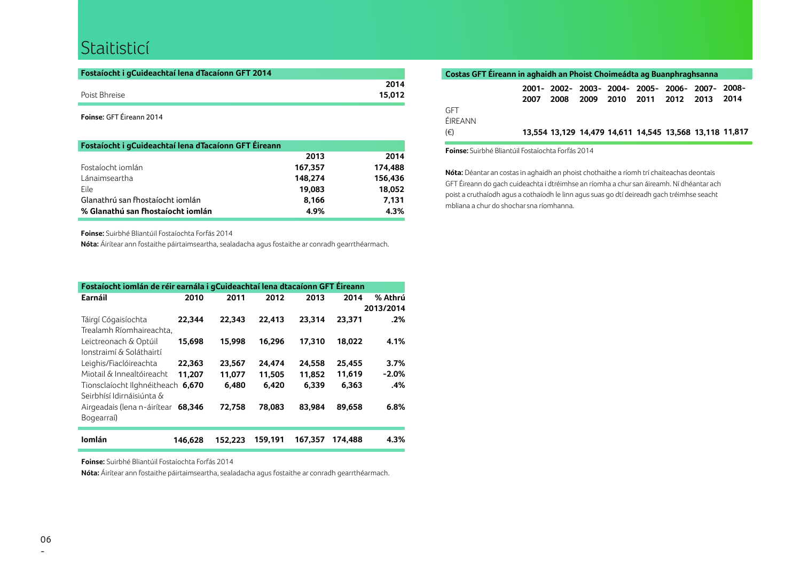### Staitisticí

| Fostaíocht i gCuideachtaí lena dTacaíonn GFT 2014 |        |
|---------------------------------------------------|--------|
|                                                   | 2014   |
| Poist Bhreise                                     | 15.012 |

**Foinse:** GFT Éireann 2014

| Fostaíocht i gCuideachtaí lena dTacaíonn GFT Éireann |         |         |
|------------------------------------------------------|---------|---------|
|                                                      | 2013    | 2014    |
| Fostaíocht iomlán                                    | 167,357 | 174.488 |
| Lánaimseartha                                        | 148.274 | 156,436 |
| Eile                                                 | 19,083  | 18,052  |
| Glanathrú san fhostaíocht iomlán                     | 8.166   | 7.131   |
| % Glanathú san fhostaíocht iomlán                    | 4.9%    | 4.3%    |

**Foinse:** Suirbhé Bliantúil Fostaíochta Forfás 2014

**Nóta:** Áirítear ann fostaithe páirtaimseartha, sealadacha agus fostaithe ar conradh gearrthéarmach.

| Fostaíocht iomlán de réir earnála i gCuideachtaí lena dtacaíonn GFT Éireann |         |         |         |         |         |           |
|-----------------------------------------------------------------------------|---------|---------|---------|---------|---------|-----------|
| Earnáil                                                                     | 2010    | 2011    | 2012    | 2013    | 2014    | % Athrú   |
|                                                                             |         |         |         |         |         | 2013/2014 |
| Táirgí Cógaisíochta                                                         | 22.344  | 22.343  | 22.413  | 23.314  | 23,371  | .2%       |
| Trealamh Ríomhaireachta.                                                    |         |         |         |         |         |           |
| Leictreonach & Optúil                                                       | 15,698  | 15.998  | 16.296  | 17,310  | 18,022  | 4.1%      |
| Jonstraimí & Soláthairtí                                                    |         |         |         |         |         |           |
| Leighis/Fiaclóireachta                                                      | 22,363  | 23,567  | 24,474  | 24,558  | 25,455  | 3.7%      |
| Miotail & Innealtóireacht                                                   | 11.207  | 11.077  | 11,505  | 11,852  | 11.619  | $-2.0%$   |
| Tionsclaíocht Ilghnéitheach 6,670                                           |         | 6.480   | 6,420   | 6.339   | 6.363   | .4%       |
| Seirbhísí Idirnáisiúnta &                                                   |         |         |         |         |         |           |
| Airgeadais (lena n-áirítear                                                 | 68.346  | 72.758  | 78.083  | 83.984  | 89.658  | 6.8%      |
| Bogearraí)                                                                  |         |         |         |         |         |           |
| lomlán                                                                      | 146.628 | 152.223 | 159.191 | 167.357 | 174.488 | 4.3%      |

**Foinse:** Suirbhé Bliantúil Fostaíochta Forfás 2014

**Nóta:** Áirítear ann fostaithe páirtaimseartha, sealadacha agus fostaithe ar conradh gearrthéarmach.

| Costas GFT Éireann in aghaidh an Phoist Choimeádta ag Buanphraghsanna |      |      |      |                                                         |  |      |
|-----------------------------------------------------------------------|------|------|------|---------------------------------------------------------|--|------|
|                                                                       |      |      |      | 2001-2002-2003-2004-2005-2006-2007-2008-                |  |      |
|                                                                       | 2007 | 2008 | 2009 | 2010 2011 2012 2013                                     |  | 2014 |
| <b>GFT</b>                                                            |      |      |      |                                                         |  |      |
| ÉIREANN                                                               |      |      |      |                                                         |  |      |
| $(\in)$                                                               |      |      |      | 13,554 13,129 14,479 14,611 14,545 13,568 13,118 11,817 |  |      |

**Foinse:** Suirbhé Bliantúil Fostaíochta Forfás 2014

**Nóta:** Déantar an costas in aghaidh an phoist chothaithe a ríomh trí chaiteachas deontais GFT Éireann do gach cuideachta i dtréimhse an ríomha a chur san áireamh. Ní dhéantar ach poist a cruthaíodh agus a cothaíodh le linn agus suas go dtí deireadh gach tréimhse seacht mbliana a chur do shochar sna ríomhanna.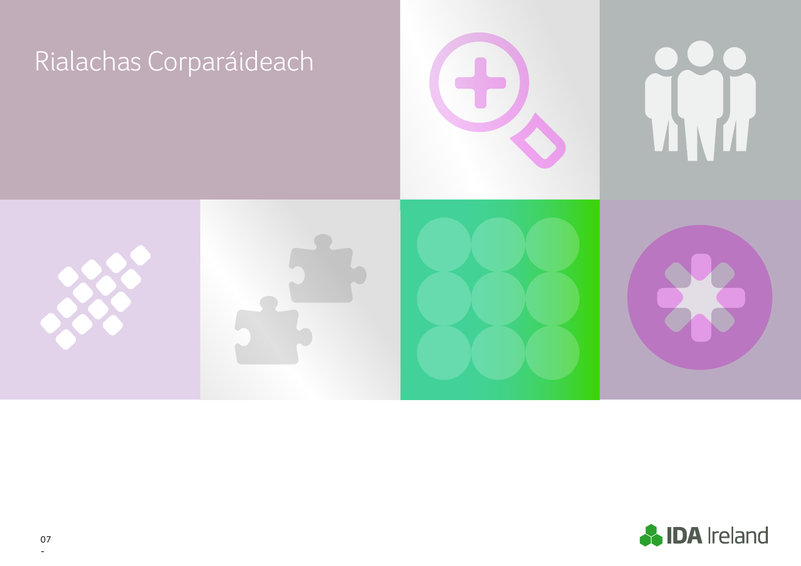

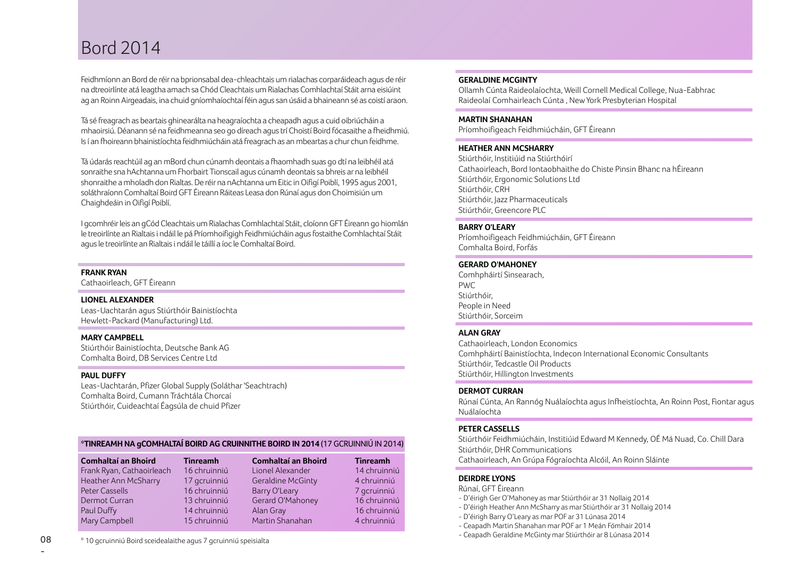### Bord 2014

Feidhmíonn an Bord de réir na bprionsabal dea-chleachtais um rialachas corparáideach agus de réir na dtreoirlínte atá leagtha amach sa Chód Cleachtais um Rialachas Comhlachtaí Stáit arna eisiúint ag an Roinn Airgeadais, ina chuid gníomhaíochtaí féin agus san úsáid a bhaineann sé as coistí araon.

Tá sé freagrach as beartais ghinearálta na heagraíochta a cheapadh agus a cuid oibriúcháin a mhaoirsiú. Déanann sé na feidhmeanna seo go díreach agus trí Choistí Boird fócasaithe a fheidhmiú. Is í an fhoireann bhainistíochta feidhmiúcháin atá freagrach as an mbeartas a chur chun feidhme.

Tá údarás reachtúil ag an mBord chun cúnamh deontais a fhaomhadh suas go dtí na leibhéil atá sonraithe sna hAchtanna um Fhorbairt Tionscail agus cúnamh deontais sa bhreis ar na leibhéil shonraithe a mholadh don Rialtas. De réir na nAchtanna um Eitic in Oifigí Poiblí, 1995 agus 2001, soláthraíonn Comhaltaí Boird GFT Éireann Ráiteas Leasa don Rúnaí agus don Choimisiún um Chaighdeáin in Oifigí Poiblí.

I gcomhréir leis an gCód Cleachtais um Rialachas Comhlachtaí Stáit, cloíonn GFT Éireann go hiomlán le treoirlínte an Rialtais i ndáil le pá Príomhoifigigh Feidhmiúcháin agus fostaithe Comhlachtaí Stáit agus le treoirlínte an Rialtais i ndáil le táillí a íoc le Comhaltaí Boird.

### **FRANK RYAN**

Cathaoirleach, GFT Éireann

### **LIONEL ALEXANDER**

Leas-Uachtarán agus Stiúrthóir Bainistíochta Hewlett-Packard (Manufacturing) Ltd.

### **MARY CAMPBELL**

Stiúrthóir Bainistíochta, Deutsche Bank AG Comhalta Boird, DB Services Centre Ltd

### **PAUL DUFFY**

Leas-Uachtarán, Pfizer Global Supply (Soláthar 'Seachtrach) Comhalta Boird, Cumann Tráchtála Chorcaí Stiúrthóir, Cuideachtaí Éagsúla de chuid Pfizer

### **\*TINREAMH NA gCOMHALTAÍ BOIRD AG CRUINNITHE BOIRD IN 2014** (17 GCRUINNIÚ IN 2014)

| <b>Comhaltaí an Bhoird</b> | <b>Tinreamh</b> | <b>Comhaltaí an Bhoird</b> | <b>Tinreamh</b> |
|----------------------------|-----------------|----------------------------|-----------------|
| Frank Ryan, Cathaoirleach  | 16 chruinniú    | Lionel Alexander           | 14 chruinniú    |
| Heather Ann McSharry       | 17 gcruinniú    | Geraldine McGinty          | 4 chruinniú     |
| Peter Cassells             | 16 chruinniú    | Barry O'Leary              | 7 gcruinniú     |
| Dermot Curran              | 13 chruinniú    | Gerard O'Mahoney           | 16 chruinniú    |
| Paul Duffy                 | 14 chruinniú    | Alan Gray                  | 16 chruinniú    |
| Mary Campbell              | 15 chruinniú    | Martin Shanahan            | 4 chruinniú     |

### Raideolaí Comhairleach Cúnta , New York Presbyterian Hospital

**MARTIN SHANAHAN** Príomhoifigeach Feidhmiúcháin, GFT Éireann

### **HEATHER ANN MCSHARRY**

**GERALDINE MCGINTY**

Stiúrthóir, Institiúid na Stiúrthóirí Cathaoirleach, Bord Iontaobhaithe do Chiste Pinsin Bhanc na hÉireann Stiúrthóir, Ergonomic Solutions Ltd Stiúrthóir, CRH Stiúrthóir, Jazz Pharmaceuticals Stiúrthóir, Greencore PLC

Ollamh Cúnta Raideolaíochta, Weill Cornell Medical College, Nua-Eabhrac

### **BARRY O'LEARY**

Príomhoifigeach Feidhmiúcháin, GFT Éireann Comhalta Boird, Forfás

### **GERARD O'MAHONEY**

Comhpháirtí Sinsearach,  $P(\lambda/\Gamma)$ Stiúrthóir, People in Need Stiúrthóir, Sorceim

### **ALAN GRAY**

Cathaoirleach, London Economics Comhpháirtí Bainistíochta, Indecon International Economic Consultants Stiúrthóir, Tedcastle Oil Products Stiúrthóir, Hillington Investments

### **DERMOT CURRAN**

Rúnaí Cúnta, An Rannóg Nuálaíochta agus Infheistíochta, An Roinn Post, Fiontar agus Nuálaíochta

### **PETER CASSELLS**

Stiúrthóir Feidhmiúcháin, Institiúid Edward M Kennedy, OÉ Má Nuad, Co. Chill Dara Stiúrthóir, DHR Communications Cathaoirleach, An Grúpa Fógraíochta Alcóil, An Roinn Sláinte

### **DEIRDRE LYONS**

Rúnaí, GFT Éireann

- D'éirigh Ger O'Mahoney as mar Stiúrthóir ar 31 Nollaig 2014
- D'éirigh Heather Ann McSharry as mar Stiúrthóir ar 31 Nollaig 2014
- D'éirigh Barry O'Leary as mar POF ar 31 Lúnasa 2014
- Ceapadh Martin Shanahan mar POF ar 1 Meán Fómhair 2014
- Ceapadh Geraldine McGinty mar Stiúrthóir ar 8 Lúnasa 2014

\* 10 gcruinniú Boird sceidealaithe agus 7 gcruinniú speisialta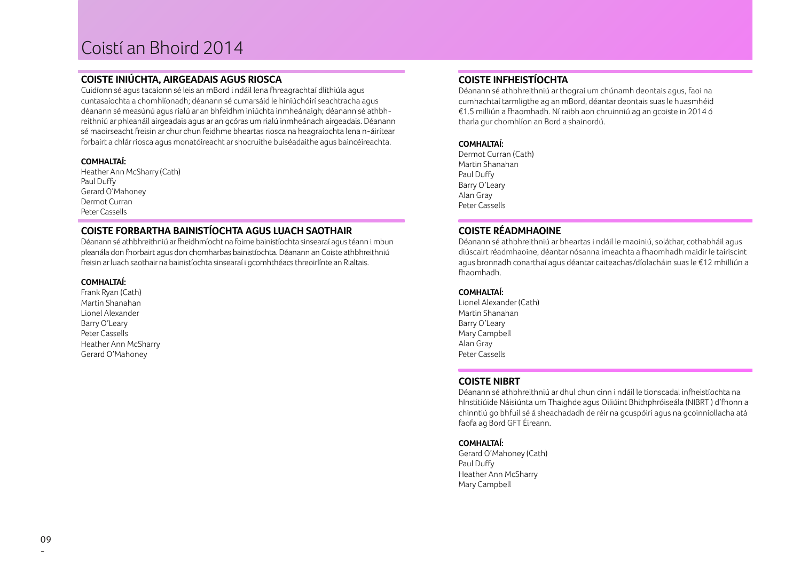## Coistí an Bhoird 2014

### **COISTE INIÚCHTA, AIRGEADAIS AGUS RIOSCA**

Cuidíonn sé agus tacaíonn sé leis an mBord i ndáil lena fhreagrachtaí dlíthiúla agus cuntasaíochta a chomhlíonadh; déanann sé cumarsáid le hiniúchóirí seachtracha agus déanann sé measúnú agus rialú ar an bhfeidhm iniúchta inmheánaigh; déanann sé athbhreithniú ar phleanáil airgeadais agus ar an gcóras um rialú inmheánach airgeadais. Déanann sé maoirseacht freisin ar chur chun feidhme bheartas riosca na heagraíochta lena n-áirítear forbairt a chlár riosca agus monatóireacht ar shocruithe buiséadaithe agus baincéireachta.

### **COMHALTAÍ:**

Heather Ann McSharry (Cath) Paul Duffy Gerard O'Mahoney Dermot Curran Peter Cassells

### **COISTE FORBARTHA BAINISTÍOCHTA AGUS LUACH SAOTHAIR**

Déanann sé athbhreithniú ar fheidhmíocht na foirne bainistíochta sinsearaí agus téann i mbun pleanála don fhorbairt agus don chomharbas bainistíochta. Déanann an Coiste athbhreithniú freisin ar luach saothair na bainistíochta sinsearaí i gcomhthéacs threoirlínte an Rialtais.

### **COMHALTAÍ:**

Frank Ryan (Cath) Martin Shanahan Lionel Alexander Barry O'Leary Peter Cassells Heather Ann McSharry Gerard O'Mahoney

### **COISTE INFHEISTÍOCHTA**

Déanann sé athbhreithniú ar thograí um chúnamh deontais agus, faoi na cumhachtaí tarmligthe ag an mBord, déantar deontais suas le huasmhéid €1.5 milliún a fhaomhadh. Ní raibh aon chruinniú ag an gcoiste in 2014 ó tharla gur chomhlíon an Bord a shainordú.

### **COMHALTAÍ:**

Dermot Curran (Cath) Martin Shanahan Paul Duffy Barry O'Leary Alan Gray Peter Cassells

### **COISTE RÉADMHAOINE**

Déanann sé athbhreithniú ar bheartas i ndáil le maoiniú, soláthar, cothabháil agus diúscairt réadmhaoine, déantar nósanna imeachta a fhaomhadh maidir le tairiscint agus bronnadh conarthaí agus déantar caiteachas/díolacháin suas le €12 mhilliún a fhaomhadh.

### **COMHALTAÍ:**

Lionel Alexander (Cath) Martin Shanahan Barry O'Leary Mary Campbell Alan Gray Peter Cassells

### **COISTE NIBRT**

Déanann sé athbhreithniú ar dhul chun cinn i ndáil le tionscadal infheistíochta na hInstitiúide Náisiúnta um Thaighde agus Oiliúint Bhithphróiseála (NIBRT) d'fhonn a chinntiú go bhfuil sé á sheachadadh de réir na gcuspóirí agus na gcoinníollacha atá faofa ag Bord GFT Éireann.

### **COMHALTAÍ:**

Gerard O'Mahoney (Cath) Paul Duffy Heather Ann McSharry Mary Campbell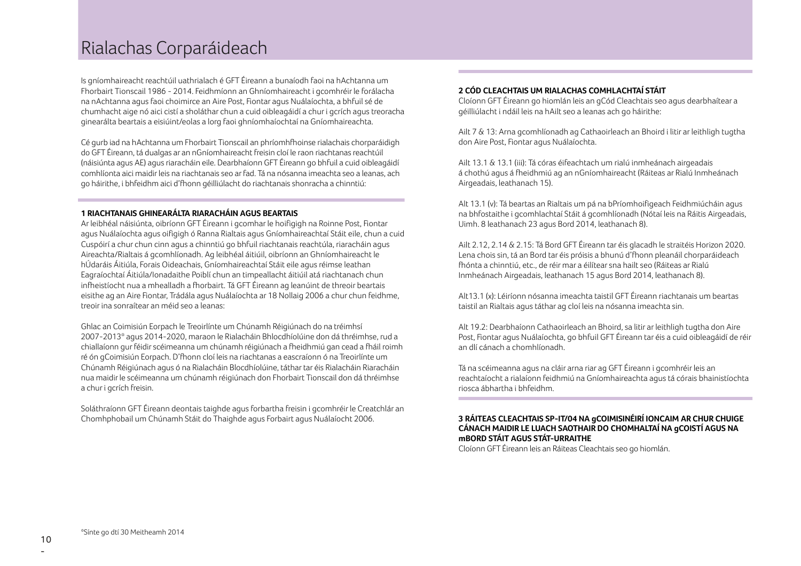### Rialachas Corparáideach

Is gníomhaireacht reachtúil uathrialach é GFT Éireann a bunaíodh faoi na hAchtanna um Fhorbairt Tionscail 1986 - 2014. Feidhmíonn an Ghníomhaireacht i gcomhréir le forálacha na nAchtanna agus faoi choimirce an Aire Post, Fiontar agus Nuálaíochta, a bhfuil sé de chumhacht aige nó aici cistí a sholáthar chun a cuid oibleagáidí a chur i gcrích agus treoracha ginearálta beartais a eisiúint/eolas a lorg faoi ghníomhaíochtaí na Gníomhaireachta.

Cé gurb iad na hAchtanna um Fhorbairt Tionscail an phríomhfhoinse rialachais chorparáidigh do GFT Éireann, tá dualgas ar an nGníomhaireacht freisin cloí le raon riachtanas reachtúil (náisiúnta agus AE) agus riaracháin eile. Dearbhaíonn GFT Éireann go bhfuil a cuid oibleagáidí comhlíonta aici maidir leis na riachtanais seo ar fad. Tá na nósanna imeachta seo a leanas, ach go háirithe, i bhfeidhm aici d'fhonn géilliúlacht do riachtanais shonracha a chinntiú:

### **1 RIACHTANAIS GHINEARÁLTA RIARACHÁIN AGUS BEARTAIS**

Ar leibhéal náisiúnta, oibríonn GFT Éireann i gcomhar le hoifigigh na Roinne Post, Fiontar agus Nuálaíochta agus oifigigh ó Ranna Rialtais agus Gníomhaireachtaí Stáit eile, chun a cuid Cuspóirí a chur chun cinn agus a chinntiú go bhfuil riachtanais reachtúla, riaracháin agus Aireachta/Rialtais á gcomhlíonadh. Ag leibhéal áitiúil, oibríonn an Ghníomhaireacht le hÚdaráis Áitiúla, Forais Oideachais, Gníomhaireachtaí Stáit eile agus réimse leathan Eagraíochtaí Áitiúla/Ionadaithe Poiblí chun an timpeallacht áitiúil atá riachtanach chun infheistíocht nua a mhealladh a fhorbairt. Tá GFT Éireann ag leanúint de threoir beartais eisithe ag an Aire Fiontar, Trádála agus Nuálaíochta ar 18 Nollaig 2006 a chur chun feidhme, treoir ina sonraítear an méid seo a leanas:

Ghlac an Coimisiún Eorpach le Treoirlínte um Chúnamh Réigiúnach do na tréimhsí 2007-2013\* agus 2014-2020, maraon le Rialacháin Bhlocdhíolúine don dá thréimhse, rud a chiallaíonn gur féidir scéimeanna um chúnamh réigiúnach a fheidhmiú gan cead a fháil roimh ré ón gCoimisiún Eorpach. D'fhonn cloí leis na riachtanas a eascraíonn ó na Treoirlínte um Chúnamh Réigiúnach agus ó na Rialacháin Blocdhíolúine, táthar tar éis Rialacháin Riaracháin nua maidir le scéimeanna um chúnamh réigiúnach don Fhorbairt Tionscail don dá thréimhse a chur i gcrích freisin.

Soláthraíonn GFT Éireann deontais taighde agus forbartha freisin i gcomhréir le Creatchlár an Chomhphobail um Chúnamh Stáit do Thaighde agus Forbairt agus Nuálaíocht 2006.

### **2 CÓD CLEACHTAIS UM RIALACHAS COMHLACHTAÍ STÁIT**

Cloíonn GFT Éireann go hiomlán leis an gCód Cleachtais seo agus dearbhaítear a géilliúlacht i ndáil leis na hAilt seo a leanas ach go háirithe:

Ailt 7 & 13: Arna gcomhlíonadh ag Cathaoirleach an Bhoird i litir ar leithligh tugtha don Aire Post, Fiontar agus Nuálaíochta.

Ailt 13.1 & 13.1 (iii): Tá córas éifeachtach um rialú inmheánach airgeadais á chothú agus á fheidhmiú ag an nGníomhaireacht (Ráiteas ar Rialú Inmheánach Airgeadais, leathanach 15).

Alt 13.1 (v): Tá beartas an Rialtais um pá na bPríomhoifigeach Feidhmiúcháin agus na bhfostaithe i gcomhlachtaí Stáit á gcomhlíonadh (Nótaí leis na Ráitis Airgeadais, Uimh. 8 leathanach 23 agus Bord 2014, leathanach 8).

Ailt 2.12, 2.14 & 2.15: Tá Bord GFT Éireann tar éis glacadh le straitéis Horizon 2020. Lena chois sin, tá an Bord tar éis próisis a bhunú d'fhonn pleanáil chorparáideach fhónta a chinntiú, etc., de réir mar a éilítear sna hailt seo (Ráiteas ar Rialú Inmheánach Airgeadais, leathanach 15 agus Bord 2014, leathanach 8).

Alt13.1 (x): Léiríonn nósanna imeachta taistil GFT Éireann riachtanais um beartas taistil an Rialtais agus táthar ag cloí leis na nósanna imeachta sin.

Alt 19.2: Dearbhaíonn Cathaoirleach an Bhoird, sa litir ar leithligh tugtha don Aire Post, Fiontar agus Nuálaíochta, go bhfuil GFT Éireann tar éis a cuid oibleagáidí de réir an dlí cánach a chomhlíonadh.

Tá na scéimeanna agus na cláir arna riar ag GFT Éireann i gcomhréir leis an reachtaíocht a rialaíonn feidhmiú na Gníomhaireachta agus tá córais bhainistíochta riosca ábhartha i bhfeidhm.

### **3 RÁITEAS CLEACHTAIS SP-IT/04 NA gCOIMISINÉIRÍ IONCAIM AR CHUR CHUIGE CÁNACH MAIDIR LE LUACH SAOTHAIR DO CHOMHALTAÍ NA gCOISTÍ AGUS NA mBORD STÁIT AGUS STÁT-URRAITHE**

Cloíonn GFT Éireann leis an Ráiteas Cleachtais seo go hiomlán.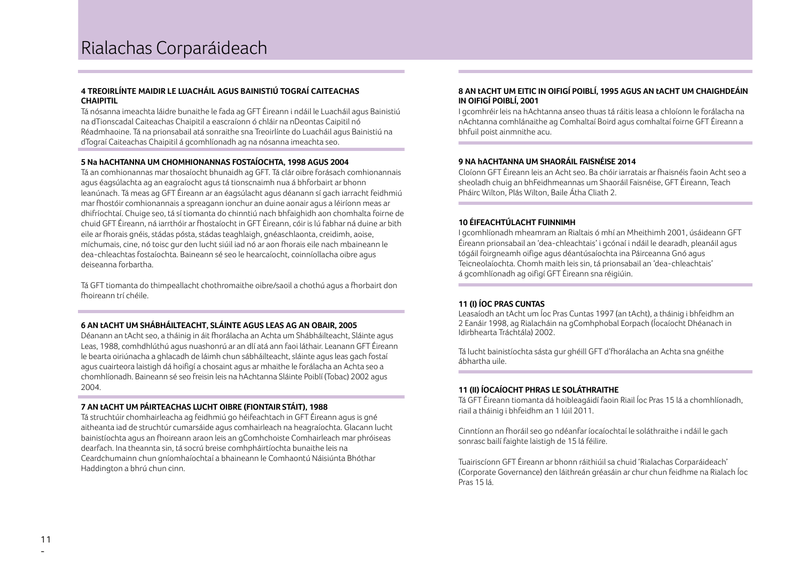### **4 TREOIRLÍNTE MAIDIR LE LUACHÁIL AGUS BAINISTIÚ TOGRAÍ CAITEACHAS CHAIPITIL**

Tá nósanna imeachta láidre bunaithe le fada ag GFT Éireann i ndáil le Luacháil agus Bainistiú na dTionscadal Caiteachas Chaipitil a eascraíonn ó chláir na nDeontas Caipitil nó Réadmhaoine. Tá na prionsabail atá sonraithe sna Treoirlínte do Luacháil agus Bainistiú na dTograí Caiteachas Chaipitil á gcomhlíonadh ag na nósanna imeachta seo.

### **5 Na hACHTANNA UM CHOMHIONANNAS FOSTAÍOCHTA, 1998 AGUS 2004**

Tá an comhionannas mar thosaíocht bhunaidh ag GFT. Tá clár oibre forásach comhionannais agus éagsúlachta ag an eagraíocht agus tá tionscnaimh nua á bhforbairt ar bhonn leanúnach. Tá meas ag GFT Éireann ar an éagsúlacht agus déanann sí gach iarracht feidhmiú mar fhostóir comhionannais a spreagann ionchur an duine aonair agus a léiríonn meas ar dhifríochtaí. Chuige seo, tá sí tiomanta do chinntiú nach bhfaighidh aon chomhalta foirne de chuid GFT Éireann, ná iarrthóir ar fhostaíocht in GFT Éireann, cóir is lú fabhar ná duine ar bith eile ar fhorais gnéis, stádas pósta, stádas teaghlaigh, gnéaschlaonta, creidimh, aoise, míchumais, cine, nó toisc gur den lucht siúil iad nó ar aon fhorais eile nach mbaineann le dea-chleachtas fostaíochta. Baineann sé seo le hearcaíocht, coinníollacha oibre agus deiseanna forbartha.

Tá GFT tiomanta do thimpeallacht chothromaithe oibre/saoil a chothú agus a fhorbairt don fhoireann trí chéile.

### **6 AN tACHT UM SHÁBHÁILTEACHT, SLÁINTE AGUS LEAS AG AN OBAIR, 2005**

Déanann an tAcht seo, a tháinig in áit fhorálacha an Achta um Shábháilteacht, Sláinte agus Leas, 1988, comhdhlúthú agus nuashonrú ar an dlí atá ann faoi láthair. Leanann GFT Éireann le bearta oiriúnacha a ghlacadh de láimh chun sábháilteacht, sláinte agus leas gach fostaí agus cuairteora laistigh dá hoifigí a chosaint agus ar mhaithe le forálacha an Achta seo a chomhlíonadh. Baineann sé seo freisin leis na hAchtanna Sláinte Poiblí (Tobac) 2002 agus 2004.

### **7 AN tACHT UM PÁIRTEACHAS LUCHT OIBRE (FIONTAIR STÁIT), 1988**

Tá struchtúir chomhairleacha ag feidhmiú go héifeachtach in GFT Éireann agus is gné aitheanta iad de struchtúr cumarsáide agus comhairleach na heagraíochta. Glacann lucht bainistíochta agus an fhoireann araon leis an gComhchoiste Comhairleach mar phróiseas dearfach. Ina theannta sin, tá socrú breise comhpháirtíochta bunaithe leis na Ceardchumainn chun gníomhaíochtaí a bhaineann le Comhaontú Náisiúnta Bhóthar Haddington a bhrú chun cinn.

### **8 AN tACHT UM EITIC IN OIFIGÍ POIBLÍ, 1995 AGUS AN tACHT UM CHAIGHDEÁIN IN OIFIGÍ POIBLÍ, 2001**

I gcomhréir leis na hAchtanna anseo thuas tá ráitis leasa a chloíonn le forálacha na nAchtanna comhlánaithe ag Comhaltaí Boird agus comhaltaí foirne GFT Éireann a bhfuil poist ainmnithe acu.

### **9 NA hACHTANNA UM SHAORÁIL FAISNÉISE 2014**

Cloíonn GFT Éireann leis an Acht seo. Ba chóir iarratais ar fhaisnéis faoin Acht seo a sheoladh chuig an bhFeidhmeannas um Shaoráil Faisnéise, GFT Éireann, Teach Pháirc Wilton, Plás Wilton, Baile Átha Cliath 2.

### **10 ÉIFEACHTÚLACHT FUINNIMH**

I gcomhlíonadh mheamram an Rialtais ó mhí an Mheithimh 2001, úsáideann GFT Éireann prionsabail an 'dea-chleachtais' i gcónaí i ndáil le dearadh, pleanáil agus tógáil foirgneamh oifige agus déantúsaíochta ina Páirceanna Gnó agus Teicneolaíochta. Chomh maith leis sin, tá prionsabail an 'dea-chleachtais' á gcomhlíonadh ag oifigí GFT Éireann sna réigiúin.

### **11 (I) ÍOC PRAS CUNTAS**

Leasaíodh an tAcht um Íoc Pras Cuntas 1997 (an tAcht), a tháinig i bhfeidhm an 2 Eanáir 1998, ag Rialacháin na gComhphobal Eorpach (Íocaíocht Dhéanach in Idirbhearta Tráchtála) 2002.

Tá lucht bainistíochta sásta gur ghéill GFT d'fhorálacha an Achta sna gnéithe ábhartha uile.

### **11 (II) ÍOCAÍOCHT PHRAS LE SOLÁTHRAITHE**

Tá GFT Éireann tiomanta dá hoibleagáidí faoin Riail Íoc Pras 15 lá a chomhlíonadh, riail a tháinig i bhfeidhm an 1 Iúil 2011.

Cinntíonn an fhoráil seo go ndéanfar íocaíochtaí le soláthraithe i ndáil le gach sonrasc bailí faighte laistigh de 15 lá féilire.

Tuairiscíonn GFT Éireann ar bhonn ráithiúil sa chuid 'Rialachas Corparáideach' (Corporate Governance) den láithreán gréasáin ar chur chun feidhme na Rialach Íoc Pras 15 lá.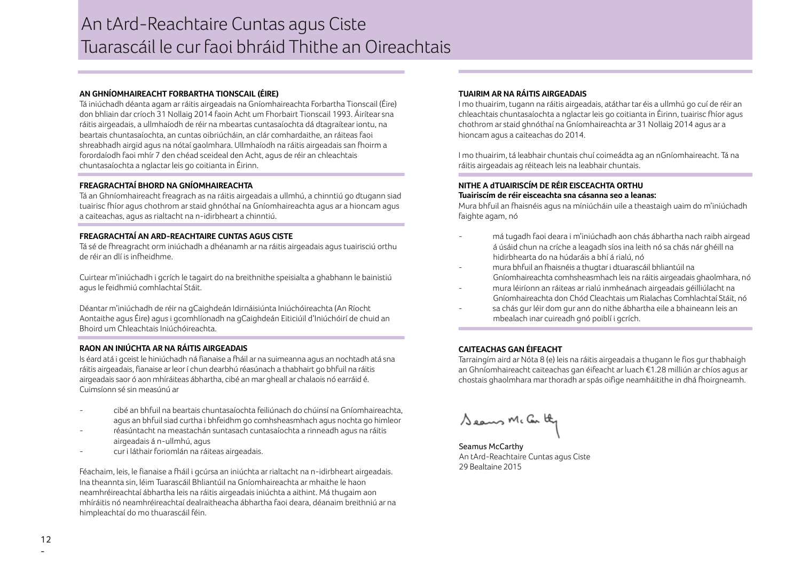### An tArd-Reachtaire Cuntas agus Ciste Tuarascáil le cur faoi bhráid Thithe an Oireachtais

### **AN GHNÍOMHAIREACHT FORBARTHA TIONSCAIL (ÉIRE)**

Tá iniúchadh déanta agam ar ráitis airgeadais na Gníomhaireachta Forbartha Tionscail (Éire) don bhliain dar críoch 31 Nollaig 2014 faoin Acht um Fhorbairt Tionscail 1993. Áirítear sna ráitis airgeadais, a ullmhaíodh de réir na mbeartas cuntasaíochta dá dtagraítear iontu, na beartais chuntasaíochta, an cuntas oibriúcháin, an clár comhardaithe, an ráiteas faoi shreabhadh airgid agus na nótaí gaolmhara. Ullmhaíodh na ráitis airgeadais san fhoirm a forordaíodh faoi mhír 7 den chéad sceideal den Acht, agus de réir an chleachtais chuntasaíochta a nglactar leis go coitianta in Éirinn.

### **FREAGRACHTAÍ BHORD NA GNÍOMHAIREACHTA**

Tá an Ghníomhaireacht freagrach as na ráitis airgeadais a ullmhú, a chinntiú go dtugann siad tuairisc fhíor agus chothrom ar staid ghnóthaí na Gníomhaireachta agus ar a hioncam agus a caiteachas, agus as rialtacht na n-idirbheart a chinntiú.

### **FREAGRACHTAÍ AN ARD-REACHTAIRE CUNTAS AGUS CISTE**

Tá sé de fhreagracht orm iniúchadh a dhéanamh ar na ráitis airgeadais agus tuairisciú orthu de réir an dlí is infheidhme.

Cuirtear m'iniúchadh i gcrích le tagairt do na breithnithe speisialta a ghabhann le bainistiú agus le feidhmiú comhlachtaí Stáit.

Déantar m'iniúchadh de réir na gCaighdeán Idirnáisiúnta Iniúchóireachta (An Ríocht Aontaithe agus Éire) agus i gcomhlíonadh na gCaighdeán Eiticiúil d'Iniúchóirí de chuid an Bhoird um Chleachtais Iniúchóireachta.

### **RAON AN INIÚCHTA AR NA RÁITIS AIRGEADAIS**

Is éard atá i gceist le hiniúchadh ná fianaise a fháil ar na suimeanna agus an nochtadh atá sna ráitis airgeadais, fianaise ar leor í chun dearbhú réasúnach a thabhairt go bhfuil na ráitis airgeadais saor ó aon mhíráiteas ábhartha, cibé an mar gheall ar chalaois nó earráid é. Cuimsíonn sé sin measúnú ar

- cibé an bhfuil na beartais chuntasaíochta feiliúnach do chúinsí na Gníomhaireachta, agus an bhfuil siad curtha i bhfeidhm go comhsheasmhach agus nochta go himleor
- réasúntacht na meastachán suntasach cuntasaíochta a rinneadh agus na ráitis airgeadais á n-ullmhú, agus
- cur i láthair foriomlán na ráiteas airgeadais.

Féachaim, leis, le fianaise a fháil i gcúrsa an iniúchta ar rialtacht na n-idirbheart airgeadais. Ina theannta sin, léim Tuarascáil Bhliantúil na Gníomhaireachta ar mhaithe le haon neamhréireachtaí ábhartha leis na ráitis airgeadais iniúchta a aithint. Má thugaim aon mhíráitis nó neamhréireachtaí dealraitheacha ábhartha faoi deara, déanaim breithniú ar na himpleachtaí do mo thuarascáil féin.

### **TUAIRIM AR NA RÁITIS AIRGEADAIS**

I mo thuairim, tugann na ráitis airgeadais, atáthar tar éis a ullmhú go cuí de réir an chleachtais chuntasaíochta a nglactar leis go coitianta in Éirinn, tuairisc fhíor agus chothrom ar staid ghnóthaí na Gníomhaireachta ar 31 Nollaig 2014 agus ar a hioncam agus a caiteachas do 2014.

I mo thuairim, tá leabhair chuntais chuí coimeádta ag an nGníomhaireacht. Tá na ráitis airgeadais ag réiteach leis na leabhair chuntais.

### **NITHE A dTUAIRISCÍM DE RÉIR EISCEACHTA ORTHU Tuairiscím de réir eisceachta sna cásanna seo a leanas:**

Mura bhfuil an fhaisnéis agus na míniúcháin uile a theastaigh uaim do m'iniúchadh faighte agam, nó

- má tugadh faoi deara i m'iniúchadh aon chás ábhartha nach raibh airgead á úsáid chun na críche a leagadh síos ina leith nó sa chás nár ghéill na hidirbhearta do na húdaráis a bhí á rialú, nó
- mura bhfuil an fhaisnéis a thugtar i dtuarascáil bhliantúil na Gníomhaireachta comhsheasmhach leis na ráitis airgeadais ghaolmhara, nó
- mura léiríonn an ráiteas ar rialú inmheánach airgeadais géilliúlacht na Gníomhaireachta don Chód Cleachtais um Rialachas Comhlachtaí Stáit, nó
- sa chás gur léir dom gur ann do nithe ábhartha eile a bhaineann leis an mbealach inar cuireadh gnó poiblí i gcrích.

### **CAITEACHAS GAN ÉIFEACHT**

Tarraingím aird ar Nóta 8 (e) leis na ráitis airgeadais a thugann le fios gur thabhaigh an Ghníomhaireacht caiteachas gan éifeacht ar luach €1.28 milliún ar chíos agus ar chostais ghaolmhara mar thoradh ar spás oifige neamháitithe in dhá fhoirgneamh.

Seaus Mc Car by

Seamus McCarthy An tArd-Reachtaire Cuntas agus Ciste 29 Bealtaine 2015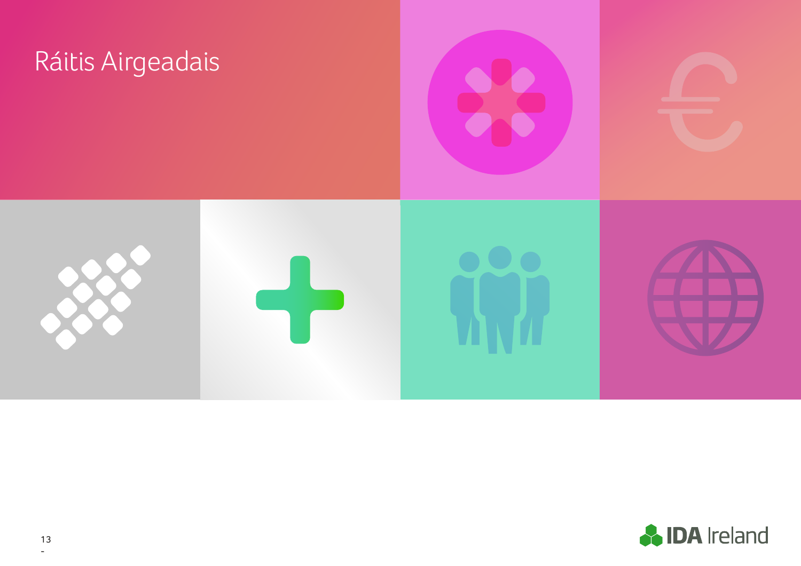

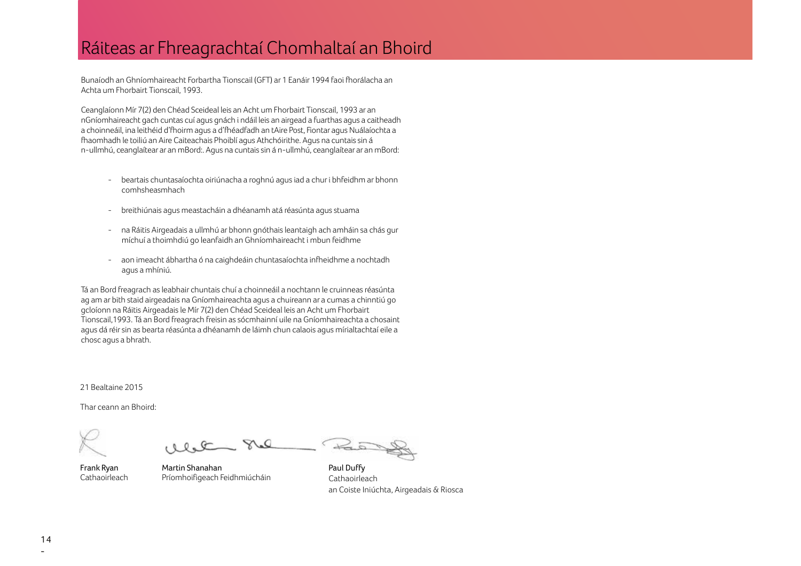### Ráiteas ar Fhreagrachtaí Chomhaltaí an Bhoird

Bunaíodh an Ghníomhaireacht Forbartha Tionscail (GFT) ar 1 Eanáir 1994 faoi fhorálacha an Achta um Fhorbairt Tionscail, 1993.

Ceanglaíonn Mír 7(2) den Chéad Sceideal leis an Acht um Fhorbairt Tionscail, 1993 ar an nGníomhaireacht gach cuntas cuí agus gnách i ndáil leis an airgead a fuarthas agus a caitheadh a choinneáil, ina leithéid d'fhoirm agus a d'fhéadfadh an tAire Post, Fiontar agus Nuálaíochta a fhaomhadh le toiliú an Aire Caiteachais Phoiblí agus Athchóirithe. Agus na cuntais sin á n-ullmhú, ceanglaítear ar an mBord:. Agus na cuntais sin á n-ullmhú, ceanglaítear ar an mBord:

- beartais chuntasaíochta oiriúnacha a roghnú agus iad a chur i bhfeidhm ar bhonn comhsheasmhach
- breithiúnais agus meastacháin a dhéanamh atá réasúnta agus stuama
- na Ráitis Airgeadais a ullmhú ar bhonn gnóthais leantaigh ach amháin sa chás gur míchuí a thoimhdiú go leanfaidh an Ghníomhaireacht i mbun feidhme
- aon imeacht ábhartha ó na caighdeáin chuntasaíochta infheidhme a nochtadh agus a mhíniú.

Tá an Bord freagrach as leabhair chuntais chuí a choinneáil a nochtann le cruinneas réasúnta ag am ar bith staid airgeadais na Gníomhaireachta agus a chuireann ar a cumas a chinntiú go gcloíonn na Ráitis Airgeadais le Mír 7(2) den Chéad Sceideal leis an Acht um Fhorbairt Tionscail,1993. Tá an Bord freagrach freisin as sócmhainní uile na Gníomhaireachta a chosaint agus dá réir sin as bearta réasúnta a dhéanamh de láimh chun calaois agus mírialtachtaí eile a chosc agus a bhrath.

21 Bealtaine 2015

Thar ceann an Bhoird:

 $\alpha$ 

Frank Ryan **Cathaoirleach** 

Martin Shanahan Príomhoifigeach Feidhmiúcháin

Paul Duffy Cathaoirleach an Coiste Iniúchta, Airgeadais & Riosca

 $\frac{1}{2}$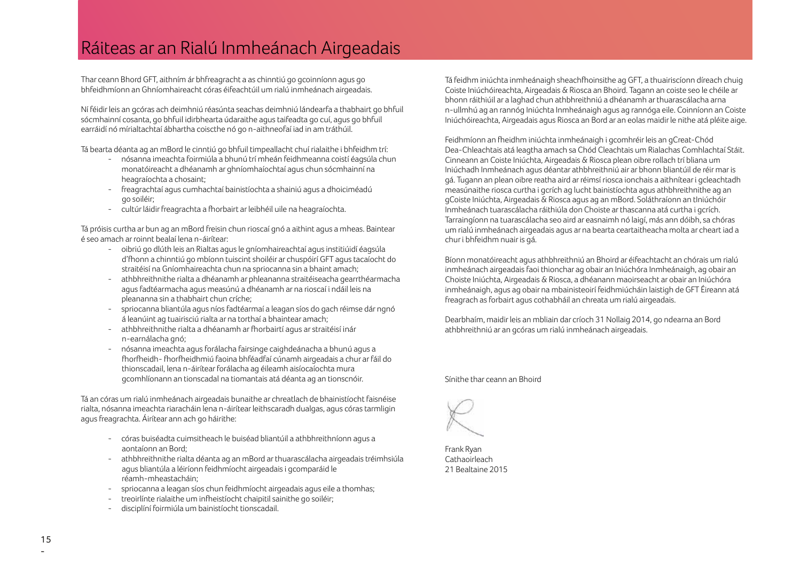### Ráiteas ar an Rialú Inmheánach Airgeadais

Thar ceann Bhord GFT, aithním ár bhfreagracht a as chinntiú go gcoinníonn agus go bhfeidhmíonn an Ghníomhaireacht córas éifeachtúil um rialú inmheánach airgeadais.

Ní féidir leis an gcóras ach deimhniú réasúnta seachas deimhniú lándearfa a thabhairt go bhfuil sócmhainní cosanta, go bhfuil idirbhearta údaraithe agus taifeadta go cuí, agus go bhfuil earráidí nó mírialtachtaí ábhartha coiscthe nó go n-aithneofaí iad in am tráthúil.

Tá bearta déanta ag an mBord le cinntiú go bhfuil timpeallacht chuí rialaithe i bhfeidhm trí:

- nósanna imeachta foirmiúla a bhunú trí mheán feidhmeanna coistí éagsúla chun monatóireacht a dhéanamh ar ghníomhaíochtaí agus chun sócmhainní na heagraíochta a chosaint;
- freagrachtaí agus cumhachtaí bainistíochta a shainiú agus a dhoiciméadú go soiléir;
- cultúr láidir freagrachta a fhorbairt ar leibhéil uile na heagraíochta.

Tá próisis curtha ar bun ag an mBord freisin chun rioscaí gnó a aithint agus a mheas. Baintear é seo amach ar roinnt bealaí lena n-áirítear:

- oibriú go dlúth leis an Rialtas agus le gníomhaireachtaí agus institiúidí éagsúla d'fhonn a chinntiú go mbíonn tuiscint shoiléir ar chuspóirí GFT agus tacaíocht do straitéisí na Gníomhaireachta chun na spriocanna sin a bhaint amach;
- athbhreithnithe rialta a dhéanamh ar phleananna straitéiseacha gearrthéarmacha agus fadtéarmacha agus measúnú a dhéanamh ar na rioscaí i ndáil leis na pleananna sin a thabhairt chun críche;
- spriocanna bliantúla agus níos fadtéarmaí a leagan síos do gach réimse dár ngnó á leanúint ag tuairisciú rialta ar na torthaí a bhaintear amach;
- athbhreithnithe rialta a dhéanamh ar fhorbairtí agus ar straitéisí inár n-earnálacha gnó;
- nósanna imeachta agus forálacha fairsinge caighdeánacha a bhunú agus a fhorfheidh- fhorfheidhmiú faoina bhféadfaí cúnamh airgeadais a chur ar fáil do thionscadail, lena n-áirítear forálacha ag éileamh aisíocaíochta mura gcomhlíonann an tionscadal na tiomantais atá déanta ag an tionscnóir.

Tá an córas um rialú inmheánach airgeadais bunaithe ar chreatlach de bhainistíocht faisnéise rialta, nósanna imeachta riaracháin lena n-áirítear leithscaradh dualgas, agus córas tarmligin agus freagrachta. Áirítear ann ach go háirithe:

- córas buiséadta cuimsitheach le buiséad bliantúil a athbhreithníonn agus a aontaíonn an Bord;
- athbhreithnithe rialta déanta ag an mBord ar thuarascálacha airgeadais tréimhsiúla agus bliantúla a léiríonn feidhmíocht airgeadais i gcomparáid le réamh-mheastacháin;
- spriocanna a leagan síos chun feidhmíocht airgeadais agus eile a thomhas;
- treoirlínte rialaithe um infheistíocht chaipitil sainithe go soiléir;
- disciplíní foirmiúla um bainistíocht tionscadail.

Tá feidhm iniúchta inmheánaigh sheachfhoinsithe ag GFT, a thuairiscíonn díreach chuig Coiste Iniúchóireachta, Airgeadais & Riosca an Bhoird. Tagann an coiste seo le chéile ar bhonn ráithiúil ar a laghad chun athbhreithniú a dhéanamh ar thuarascálacha arna n-ullmhú ag an rannóg Iniúchta Inmheánaigh agus ag rannóga eile. Coinníonn an Coiste Iniúchóireachta, Airgeadais agus Riosca an Bord ar an eolas maidir le nithe atá pléite aige.

Feidhmíonn an fheidhm iniúchta inmheánaigh i gcomhréir leis an gCreat-Chód Dea-Chleachtais atá leagtha amach sa Chód Cleachtais um Rialachas Comhlachtaí Stáit. Cinneann an Coiste Iniúchta, Airgeadais & Riosca plean oibre rollach trí bliana um Iniúchadh Inmheánach agus déantar athbhreithniú air ar bhonn bliantúil de réir mar is gá. Tugann an plean oibre reatha aird ar réimsí riosca ionchais a aithnítear i gcleachtadh measúnaithe riosca curtha i gcrích ag lucht bainistíochta agus athbhreithnithe ag an gCoiste Iniúchta, Airgeadais & Riosca agus ag an mBord. Soláthraíonn an tIniúchóir Inmheánach tuarascálacha ráithiúla don Choiste ar thascanna atá curtha i gcrích. Tarraingíonn na tuarascálacha seo aird ar easnaimh nó laigí, más ann dóibh, sa chóras um rialú inmheánach airgeadais agus ar na bearta ceartaitheacha molta ar cheart iad a chur i bhfeidhm nuair is gá.

Bíonn monatóireacht agus athbhreithniú an Bhoird ar éifeachtacht an chórais um rialú inmheánach airgeadais faoi thionchar ag obair an Iniúchóra Inmheánaigh, ag obair an Choiste Iniúchta, Airgeadais & Riosca, a dhéanann maoirseacht ar obair an Iniúchóra inmheánaigh, agus ag obair na mbainisteoirí feidhmiúcháin laistigh de GFT Éireann atá freagrach as forbairt agus cothabháil an chreata um rialú airgeadais.

Dearbhaím, maidir leis an mbliain dar críoch 31 Nollaig 2014, go ndearna an Bord athbhreithniú ar an gcóras um rialú inmheánach airgeadais.

Sínithe thar ceann an Bhoird

Frank Ryan Cathaoirleach 21 Bealtaine 2015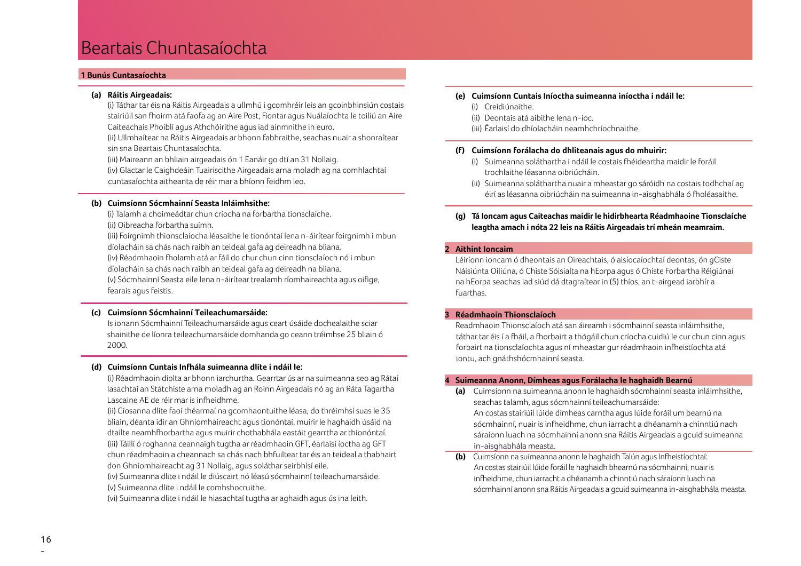### Beartais Chuntasaíochta

### **1 Bunús Cuntasaíochta**

### **(a) Ráitis Airgeadais:**

 (i) Táthar tar éis na Ráitis Airgeadais a ullmhú i gcomhréir leis an gcoinbhinsiún costais stairiúil san fhoirm atá faofa ag an Aire Post, Fiontar agus Nuálaíochta le toiliú an Aire Caiteachais Phoiblí agus Athchóirithe agus iad ainmnithe in euro.

 (ii) Ullmhaítear na Ráitis Airgeadais ar bhonn fabhraithe, seachas nuair a shonraítear sin sna Beartais Chuntasaíochta.

(iii) Maireann an bhliain airgeadais ón 1 Eanáir go dtí an 31 Nollaig.

 (iv) Glactar le Caighdeáin Tuairiscithe Airgeadais arna moladh ag na comhlachtaí cuntasaíochta aitheanta de réir mar a bhíonn feidhm leo.

### **(b) Cuimsíonn Sócmhainní Seasta Inláimhsithe:**

 (i) Talamh a choimeádtar chun críocha na forbartha tionsclaíche. (ii) Oibreacha forbartha suímh.

 (iii) Foirgnimh thionsclaíocha léasaithe le tionóntaí lena n-áirítear foirgnimh i mbun díolacháin sa chás nach raibh an teideal gafa ag deireadh na bliana. (iv) Réadmhaoin fholamh atá ar fáil do chur chun cinn tionsclaíoch nó i mbun díolacháin sa chás nach raibh an teideal gafa ag deireadh na bliana. (v) Sócmhainní Seasta eile lena n-áirítear trealamh ríomhaireachta agus oifige, fearais agus feistis.

### **(c) Cuimsíonn Sócmhainní Teileachumarsáide:**

 Is ionann Sócmhainní Teileachumarsáide agus ceart úsáide dochealaithe sciar shainithe de líonra teileachumarsáide domhanda go ceann tréimhse 25 bliain ó 2000.

### **(d) Cuimsíonn Cuntais Infhála suimeanna dlite i ndáil le:**

 (i) Réadmhaoin díolta ar bhonn iarchurtha. Gearrtar ús ar na suimeanna seo ag Rátaí Iasachtaí an Státchiste arna moladh ag an Roinn Airgeadais nó ag an Ráta Tagartha Lascaine AE de réir mar is infheidhme.

 (ii) Cíosanna dlite faoi théarmaí na gcomhaontuithe léasa, do thréimhsí suas le 35 bliain, déanta idir an Ghníomhaireacht agus tionóntaí, muirir le haghaidh úsáid na dtailte neamhfhorbartha agus muirir chothabhála eastáit gearrtha ar thionóntaí. (iii) Táillí ó roghanna ceannaigh tugtha ar réadmhaoin GFT, éarlaisí íoctha ag GFT chun réadmhaoin a cheannach sa chás nach bhfuiltear tar éis an teideal a thabhairt don Ghníomhaireacht ag 31 Nollaig, agus soláthar seirbhísí eile.

 (iv) Suimeanna dlite i ndáil le diúscairt nó léasú sócmhainní teileachumarsáide. (v) Suimeanna dlite i ndáil le comhshocruithe.

(vi) Suimeanna dlite i ndáil le hiasachtaí tugtha ar aghaidh agus ús ina leith.

### **(e) Cuimsíonn Cuntais Iníoctha suimeanna iníoctha i ndáil le:**

- (i) Creidiúnaithe.
- (ii) Deontais atá aibithe lena n-íoc.
- (iii) Éarlaisí do dhíolacháin neamhchríochnaithe

### **(f) Cuimsíonn forálacha do dhliteanais agus do mhuirir:**

- (i) Suimeanna soláthartha i ndáil le costais fhéideartha maidir le foráil trochlaithe léasanna oibriúcháin.
- (ii) Suimeanna soláthartha nuair a mheastar go sáróidh na costais todhchaí ag éirí as léasanna oibriúcháin na suimeanna in-aisghabhála ó fholéasaithe.

### **(g) Tá Ioncam agus Caiteachas maidir le hidirbhearta Réadmhaoine Tionsclaíche leagtha amach i nóta 22 leis na Ráitis Airgeadais trí mheán meamraim.**

### **2 Aithint Ioncaim**

 Léiríonn ioncam ó dheontais an Oireachtais, ó aisíocaíochtaí deontas, ón gCiste Náisiúnta Oiliúna, ó Chiste Sóisialta na hEorpa agus ó Chiste Forbartha Réigiúnaí na hEorpa seachas iad siúd dá dtagraítear in (5) thíos, an t-airgead iarbhír a fuarthas.

### **3 Réadmhaoin Thionsclaíoch**

 Readmhaoin Thionsclaíoch atá san áireamh i sócmhainní seasta inláimhsithe, táthar tar éis í a fháil, a fhorbairt a thógáil chun críocha cuidiú le cur chun cinn agus forbairt na tionsclaíochta agus ní mheastar gur réadmhaoin infheistíochta atá iontu, ach gnáthshócmhainní seasta.

### **4 Suimeanna Anonn, Dímheas agus Forálacha le haghaidh Bearnú**

**(a)** Cuimsíonn na suimeanna anonn le haghaidh sócmhainní seasta inláimhsithe, seachas talamh, agus sócmhainní teileachumarsáide:

An costas stairiúil lúide dímheas carntha agus lúide foráil um bearnú na sócmhainní, nuair is infheidhme, chun iarracht a dhéanamh a chinntiú nach sáraíonn luach na sócmhainní anonn sna Ráitis Airgeadais a gcuid suimeanna in-aisghabhála measta.

**(b)** Cuimsíonn na suimeanna anonn le haghaidh Talún agus Infheistíochtaí: An costas stairiúil lúide foráil le haghaidh bhearnú na sócmhainní, nuair is infheidhme, chun iarracht a dhéanamh a chinntiú nach sáraíonn luach na sócmhainní anonn sna Ráitis Airgeadais a gcuid suimeanna in-aisghabhála measta.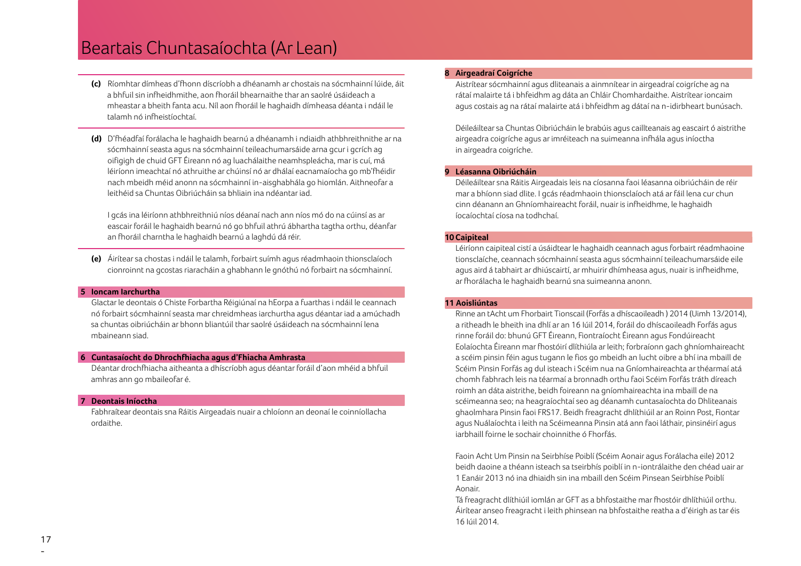### Beartais Chuntasaíochta (Ar Lean)

- **(c)** Ríomhtar dímheas d'fhonn díscríobh a dhéanamh ar chostais na sócmhainní lúide, áit a bhfuil sin infheidhmithe, aon fhoráil bhearnaithe thar an saolré úsáideach a mheastar a bheith fanta acu. Níl aon fhoráil le haghaidh dímheasa déanta i ndáil le talamh nó infheistíochtaí.
- **(d)** D'fhéadfaí forálacha le haghaidh bearnú a dhéanamh i ndiaidh athbhreithnithe ar na sócmhainní seasta agus na sócmhainní teileachumarsáide arna gcur i gcrích ag oifigigh de chuid GFT Éireann nó ag luachálaithe neamhspleácha, mar is cuí, má léiríonn imeachtaí nó athruithe ar chúinsí nó ar dhálaí eacnamaíocha go mb'fhéidir nach mbeidh méid anonn na sócmhainní in-aisghabhála go hiomlán. Aithneofar a leithéid sa Chuntas Oibriúcháin sa bhliain ina ndéantar iad.

 I gcás ina léiríonn athbhreithniú níos déanaí nach ann níos mó do na cúinsí as ar eascair foráil le haghaidh bearnú nó go bhfuil athrú ábhartha tagtha orthu, déanfar an fhoráil charntha le haghaidh bearnú a laghdú dá réir.

 **(e)** Áirítear sa chostas i ndáil le talamh, forbairt suímh agus réadmhaoin thionsclaíoch cionroinnt na gcostas riaracháin a ghabhann le gnóthú nó forbairt na sócmhainní.

#### **5 Ioncam Iarchurtha**

 Glactar le deontais ó Chiste Forbartha Réigiúnaí na hEorpa a fuarthas i ndáil le ceannach nó forbairt sócmhainní seasta mar chreidmheas iarchurtha agus déantar iad a amúchadh sa chuntas oibriúcháin ar bhonn bliantúil thar saolré úsáideach na sócmhainní lena mbaineann siad.

### **6 Cuntasaíocht do Dhrochfhiacha agus d'Fhiacha Amhrasta**

 Déantar drochfhiacha aitheanta a dhíscríobh agus déantar foráil d'aon mhéid a bhfuil amhras ann go mbaileofar é.

### **7 Deontais Iníoctha**

 Fabhraítear deontais sna Ráitis Airgeadais nuair a chloíonn an deonaí le coinníollacha ordaithe.

### **8 Airgeadraí Coigríche**

 Aistrítear sócmhainní agus dliteanais a ainmnítear in airgeadraí coigríche ag na rátaí malairte tá i bhfeidhm ag dáta an Chláir Chomhardaithe. Aistrítear ioncaim agus costais ag na rátaí malairte atá i bhfeidhm ag dátaí na n-idirbheart bunúsach.

Déileáiltear sa Chuntas Oibriúcháin le brabúis agus caillteanais ag eascairt ó aistrithe airgeadra coigríche agus ar imréiteach na suimeanna infhála agus iníoctha in airgeadra coigríche.

### **9 Léasanna Oibriúcháin**

 Déileáiltear sna Ráitis Airgeadais leis na cíosanna faoi léasanna oibriúcháin de réir mar a bhíonn siad dlite. I gcás réadmhaoin thionsclaíoch atá ar fáil lena cur chun cinn déanann an Ghníomhaireacht foráil, nuair is infheidhme, le haghaidh íocaíochtaí cíosa na todhchaí.

### **10Caipiteal**

 Léiríonn caipiteal cistí a úsáidtear le haghaidh ceannach agus forbairt réadmhaoine tionsclaíche, ceannach sócmhainní seasta agus sócmhainní teileachumarsáide eile agus aird á tabhairt ar dhiúscairtí, ar mhuirir dhímheasa agus, nuair is infheidhme, ar fhorálacha le haghaidh bearnú sna suimeanna anonn.

#### **11 Aoisliúntas**

Rinne an tAcht um Fhorbairt Tionscail (Forfás a dhíscaoileadh ) 2014 (Uimh 13/2014), a ritheadh le bheith ina dhlí ar an 16 Iúil 2014, foráil do dhíscaoileadh Forfás agus rinne foráil do: bhunú GFT Éireann, Fiontraíocht Éireann agus Fondúireacht Eolaíochta Éireann mar fhostóirí dlíthiúla ar leith; forbraíonn gach ghníomhaireacht a scéim pinsin féin agus tugann le fios go mbeidh an lucht oibre a bhí ina mbaill de Scéim Pinsin Forfás ag dul isteach i Scéim nua na Gníomhaireachta ar théarmaí atá chomh fabhrach leis na téarmaí a bronnadh orthu faoi Scéim Forfás tráth díreach roimh an dáta aistrithe, beidh foireann na gníomhaireachta ina mbaill de na scéimeanna seo; na heagraíochtaí seo ag déanamh cuntasaíochta do Dhliteanais ghaolmhara Pinsin faoi FRS17. Beidh freagracht dhlíthiúil ar an Roinn Post, Fiontar agus Nuálaíochta i leith na Scéimeanna Pinsin atá ann faoi láthair, pinsinéirí agus iarbhaill foirne le sochair choinnithe ó Fhorfás.

 Faoin Acht Um Pinsin na Seirbhíse Poiblí (Scéim Aonair agus Forálacha eile) 2012 beidh daoine a théann isteach sa tseirbhís poiblí in n-iontrálaithe den chéad uair ar 1 Eanáir 2013 nó ina dhiaidh sin ina mbaill den Scéim Pinsean Seirbhíse Poiblí Aonair.

Tá freagracht dlíthiúil iomlán ar GFT as a bhfostaithe mar fhostóir dhlíthiúil orthu. Áirítear anseo freagracht i leith phinsean na bhfostaithe reatha a d'éirigh as tar éis 16 Iúil 2014.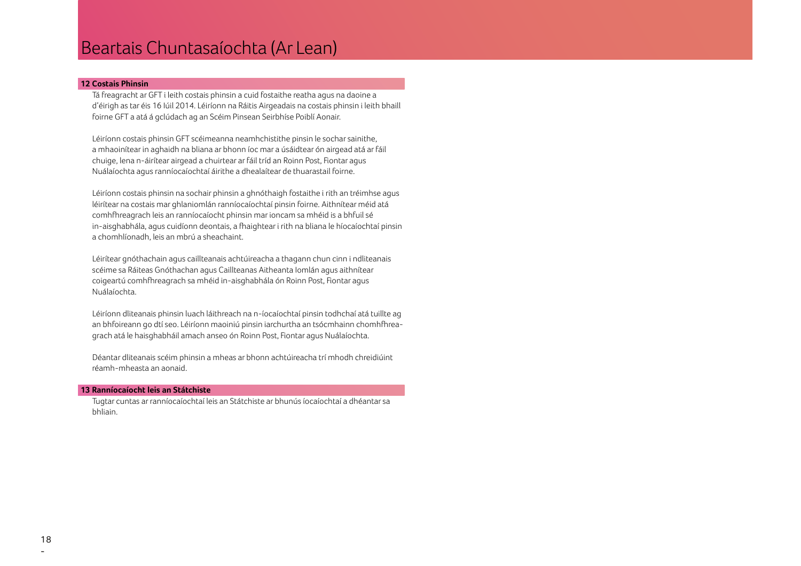### Beartais Chuntasaíochta (Ar Lean)

### **12 Costais Phinsin**

 Tá freagracht ar GFT i leith costais phinsin a cuid fostaithe reatha agus na daoine a d'éirigh as tar éis 16 Iúil 2014. Léiríonn na Ráitis Airgeadais na costais phinsin i leith bhaill foirne GFT a atá á gclúdach ag an Scéim Pinsean Seirbhíse Poiblí Aonair.

 Léiríonn costais phinsin GFT scéimeanna neamhchistithe pinsin le sochar sainithe, a mhaoinítear in aghaidh na bliana ar bhonn íoc mar a úsáidtear ón airgead atá ar fáil chuige, lena n-áirítear airgead a chuirtear ar fáil tríd an Roinn Post, Fiontar agus Nuálaíochta agus ranníocaíochtaí áirithe a dhealaítear de thuarastail foirne.

 Léiríonn costais phinsin na sochair phinsin a ghnóthaigh fostaithe i rith an tréimhse agus léirítear na costais mar ghlaniomlán ranníocaíochtaí pinsin foirne. Aithnítear méid atá comhfhreagrach leis an ranníocaíocht phinsin mar ioncam sa mhéid is a bhfuil sé in-aisghabhála, agus cuidíonn deontais, a fhaightear i rith na bliana le híocaíochtaí pinsin a chomhlíonadh, leis an mbrú a sheachaint.

 Léirítear gnóthachain agus caillteanais achtúireacha a thagann chun cinn i ndliteanais scéime sa Ráiteas Gnóthachan agus Caillteanas Aitheanta Iomlán agus aithnítear coigeartú comhfhreagrach sa mhéid in-aisghabhála ón Roinn Post, Fiontar agus Nuálaíochta.

 Léiríonn dliteanais phinsin luach láithreach na n-íocaíochtaí pinsin todhchaí atá tuillte ag an bhfoireann go dtí seo. Léiríonn maoiniú pinsin iarchurtha an tsócmhainn chomhfhreagrach atá le haisghabháil amach anseo ón Roinn Post, Fiontar agus Nuálaíochta.

 Déantar dliteanais scéim phinsin a mheas ar bhonn achtúireacha trí mhodh chreidiúint réamh-mheasta an aonaid.

#### **13 Ranníocaíocht leis an Státchiste**

 Tugtar cuntas ar ranníocaíochtaí leis an Státchiste ar bhunús íocaíochtaí a dhéantar sa bhliain.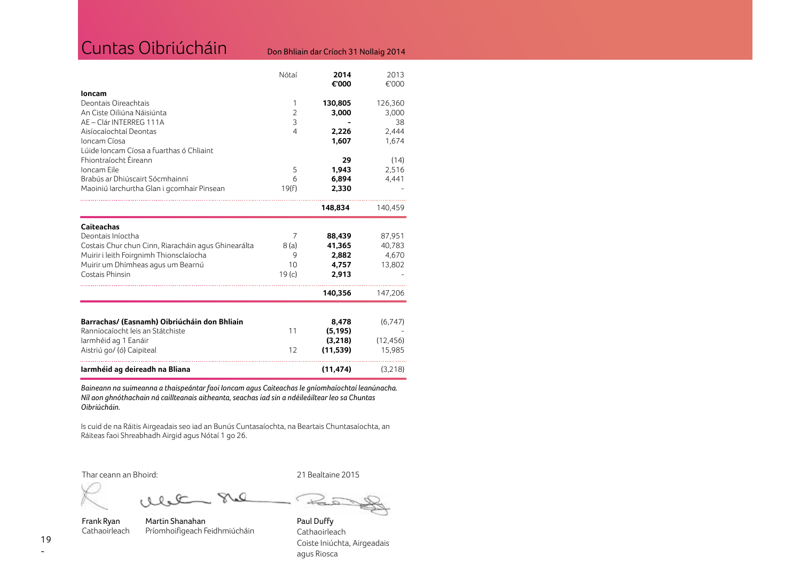| Cuntas Oibriúcháin                                  |                | Don Bhliain dar Críoch 31 Nollaig 2014 |               |
|-----------------------------------------------------|----------------|----------------------------------------|---------------|
|                                                     | Nótaí          | 2014<br>€'000                          | 2013<br>€'000 |
| loncam<br>Deontais Oireachtais                      | 1              | 130,805                                | 126,360       |
| An Ciste Oiliúna Náisiúnta                          | $\overline{2}$ | 3,000                                  | 3,000         |
| AE - Clár INTERREG 111A                             | 3              |                                        | 38            |
| Aisíocaíochtaí Deontas                              | 4              | 2,226                                  | 2,444         |
| Ioncam Cíosa                                        |                | 1,607                                  | 1,674         |
| Lúide Ioncam Cíosa a fuarthas ó Chliaint            |                |                                        |               |
| Fhiontraíocht Éireann                               |                | 29                                     | (14)          |
| Ioncam Eile<br>Brabús ar Dhiúscairt Sócmhainní      | 5<br>6         | 1,943<br>6,894                         | 2,516         |
| Maoiniú Iarchurtha Glan i gcomhair Pinsean          | 19(f)          | 2,330                                  | 4,441         |
|                                                     |                |                                        |               |
|                                                     |                | 148,834                                | 140,459       |
| <b>Caiteachas</b>                                   |                |                                        |               |
| Deontais Iníoctha                                   | 7              | 88,439                                 | 87,951        |
| Costais Chur chun Cinn, Riaracháin agus Ghinearálta | 8(a)           | 41,365                                 | 40,783        |
| Muirir i leith Foirgnimh Thionsclaíocha             | 9              | 2,882                                  | 4,670         |
| Muirir um Dhímheas agus um Bearnú                   | 10             | 4,757                                  | 13,802        |
| Costais Phinsin                                     | 19(c)          | 2,913                                  |               |
|                                                     |                | 140,356                                | 147,206       |
| Barrachas/ (Easnamh) Oibriúcháin don Bhliain        |                | 8,478                                  | (6,747)       |
| Ranníocaíocht leis an Státchiste                    | 11             | (5, 195)                               |               |
| larmhéid ag 1 Eanáir                                |                | (3,218)                                | (12, 456)     |
| Aistriú go/ (ó) Caipiteal                           | 12             | (11, 539)                              | 15,985        |
| Iarmhéid ag deireadh na Bliana                      |                | (11, 474)                              | (3,218)       |

*Baineann na suimeanna a thaispeántar faoi Ioncam agus Caiteachas le gníomhaíochtaí leanúnacha. Níl aon ghnóthachain ná caillteanais aitheanta, seachas iad sin a ndéileáiltear leo sa Chuntas Oibriúcháin.*

Is cuid de na Ráitis Airgeadais seo iad an Bunús Cuntasaíochta, na Beartais Chuntasaíochta, an Ráiteas faoi Shreabhadh Airgid agus Nótaí 1 go 26.

 $\Omega$ 

Thar ceann an Bhoird:

21 Bealtaine 2015

¢  $\approx$ 

alet

Frank Ryan Cathaoirleach

Martin Shanahan Príomhoifigeach Feidhmiúcháin

Paul Duffy **Cathaoirleach** Coiste Iniúchta, Airgeadais agus Riosca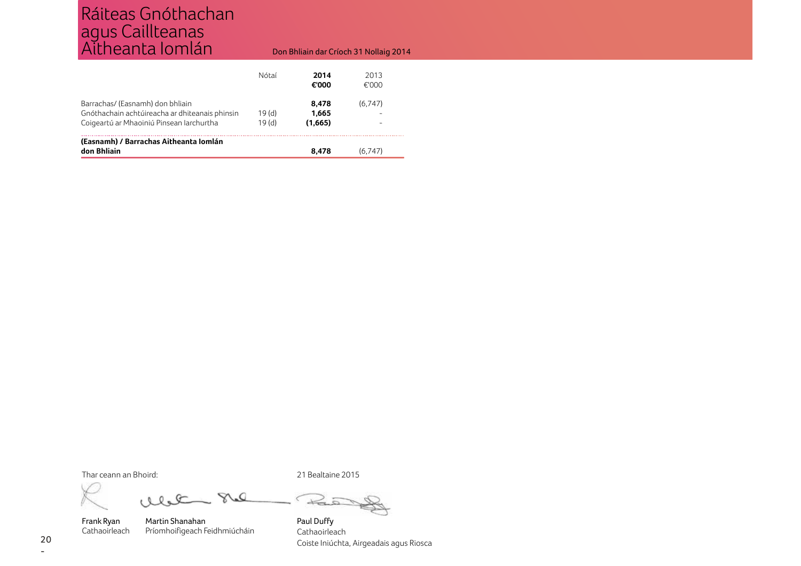### Ráiteas Gnóthachan agus Caillteanas Aitheanta Iomlán

### Don Bhliain dar Críoch 31 Nollaig 2014

|                                                                                                                                | Nótaí                      | 2014<br>€'000             | 2013<br>€'000 |
|--------------------------------------------------------------------------------------------------------------------------------|----------------------------|---------------------------|---------------|
| Barrachas/ (Easnamh) don bhliain<br>Gnóthachain achtúireacha ar dhiteanais phinsin<br>Coigeartú ar Mhaoiniú Pinsean Iarchurtha | 19(d)<br>19 <sub>(d)</sub> | 8.478<br>1.665<br>(1.665) | (6.747)       |
| (Easnamh) / Barrachas Aitheanta Iomlán<br>don Bhliain                                                                          |                            | 8.478                     | (6.747)       |

Thar ceann an Bhoird:

 $28$ ale

Frank Ryan Cathaoirleach

Martin Shanahan Príomhoifigeach Feidhmiúcháin Paul Duffy **Cathaoirleach** Coiste Iniúchta, Airgeadais agus Riosca

21 Bealtaine 2015

€  $\nrightleftarrows$ 

20 -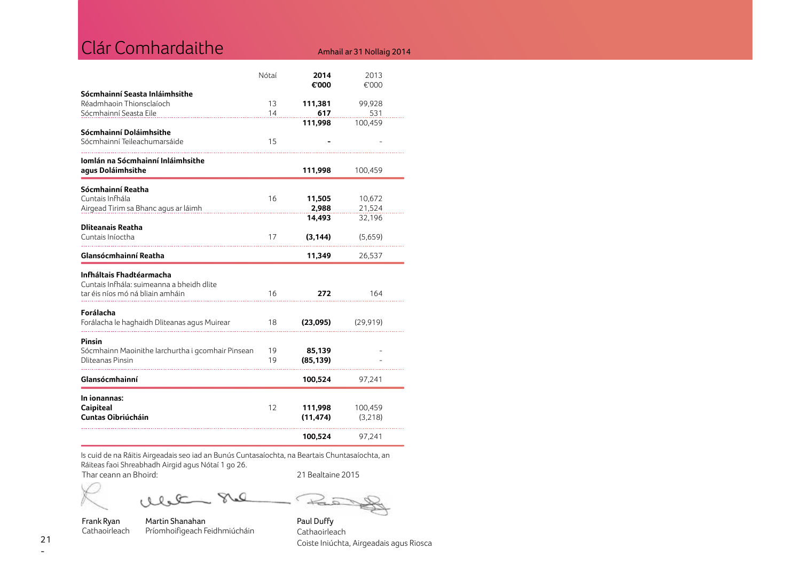| Clár Comhardaithe                                                             |          |                      | Amhail ar 31 Nollaig 2014 |
|-------------------------------------------------------------------------------|----------|----------------------|---------------------------|
|                                                                               | Nótaí    | 2014                 | 2013                      |
| Sócmhainní Seasta Inláimhsithe                                                |          | €'000                | €'000                     |
| Réadmhaoin Thionsclaíoch<br>Sócmhainní Seasta Eile                            | 13<br>14 | 111,381<br>617       | 99,928<br>531             |
|                                                                               |          | 111,998              | 100,459                   |
| Sócmhainní Doláimhsithe<br>Sócmhainní Teileachumarsáide                       | 15       |                      |                           |
| Iomlán na Sócmhainní Inláimhsithe                                             |          |                      |                           |
| agus Doláimhsithe                                                             |          | 111,998              | 100,459                   |
| Sócmhainní Reatha<br>Cuntais Infhála                                          |          |                      |                           |
| Airgead Tirim sa Bhanc agus ar láimh                                          | 16       | 11,505<br>2,988      | 10,672<br>21,524          |
| <b>Dliteanais Reatha</b>                                                      |          | 14,493               | 32,196                    |
| Cuntais Iníoctha                                                              | 17       | (3, 144)             | (5,659)                   |
| Glansócmhainní Reatha                                                         |          | 11,349               | 26,537                    |
| Infháltais Fhadtéarmacha                                                      |          |                      |                           |
| Cuntais Infhála: suimeanna a bheidh dlite<br>tar éis níos mó ná bliain amháin | 16       | 272                  | 164                       |
| Forálacha<br>Forálacha le haghaidh Dliteanas agus Muirear                     | 18       | (23,095)             | (29, 919)                 |
|                                                                               |          |                      |                           |
| Pinsin<br>Sócmhainn Maoinithe Iarchurtha i gcomhair Pinsean                   | 19       | 85,139               |                           |
| <b>Dliteanas Pinsin</b>                                                       | 19       | (85, 139)            |                           |
| Glansócmhainní                                                                |          | 100,524              | 97,241                    |
| In ionannas:                                                                  |          |                      |                           |
| Caipiteal<br><b>Cuntas Oibriúcháin</b>                                        | 12       | 111,998<br>(11, 474) | 100,459<br>(3,218)        |
|                                                                               |          |                      |                           |

Is cuid de na Ráitis Airgeadais seo iad an Bunús Cuntasaíochta, na Beartais Chuntasaíochta, an Ráiteas faoi Shreabhadh Airgid agus Nótaí 1 go 26.

Thar ceann an Bhoird: 21 Bealtaine 2015

Frank Ryan Cathaoirleach

 $28$ alet

Príomhoifigeach Feidhmiúcháin

Martin Shanahan

€  $\overrightarrow{a}$ 

Paul Duffy Cathaoirleach Coiste Iniúchta, Airgeadais agus Riosca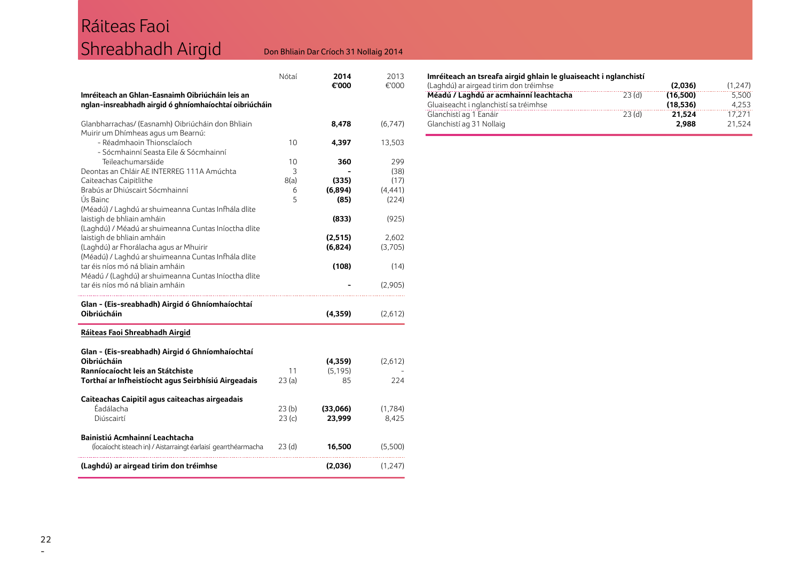## Ráiteas Faoi Shreabhadh Airgid

### Don Bhliain Dar Críoch 31 Nollaig 2014

| Imréiteach an Ghlan-Easnaimh Oibriúcháin leis an<br>nglan-insreabhadh airgid ó ghníomhaíochtaí oibriúcháin                                                                          | Nótaí                     | 2014<br>€'000                   | 2013<br>€'000                            |
|-------------------------------------------------------------------------------------------------------------------------------------------------------------------------------------|---------------------------|---------------------------------|------------------------------------------|
| Glanbharrachas/ (Easnamh) Oibriúcháin don Bhliain                                                                                                                                   |                           | 8,478                           | (6,747)                                  |
| Muirir um Dhímheas agus um Bearnú:<br>- Réadmhaoin Thionsclaíoch                                                                                                                    | 10                        | 4,397                           | 13,503                                   |
| - Sócmhainní Seasta Eile & Sócmhainní<br>Teileachumarsáide<br>Deontas an Chláir AE INTERREG 111A Amúchta<br>Caiteachas Caipitlithe<br>Brabús ar Dhiúscairt Sócmhainní<br>Ús Bainc   | 10<br>3<br>8(a)<br>6<br>5 | 360<br>(335)<br>(6,894)<br>(85) | 299<br>(38)<br>(17)<br>(4, 441)<br>(224) |
| (Méadú) / Laghdú ar shuimeanna Cuntas Infhála dlite<br>laistigh de bhliain amháin                                                                                                   |                           | (833)                           | (925)                                    |
| (Laghdú) / Méadú ar shuimeanna Cuntas Iníoctha dlite<br>laistigh de bhliain amháin<br>(Laghdú) ar Fhorálacha agus ar Mhuirir<br>(Méadú) / Laghdú ar shuimeanna Cuntas Infhála dlite |                           | (2,515)<br>(6,824)              | 2,602<br>(3,705)                         |
| tar éis níos mó ná bliain amháin<br>Méadú / (Laghdú) ar shuimeanna Cuntas Iníoctha dlite                                                                                            |                           | (108)                           | (14)                                     |
| tar éis níos mó ná bliain amháin                                                                                                                                                    |                           |                                 | (2,905)                                  |
| Glan - (Eis-sreabhadh) Airgid ó Ghníomhaíochtaí<br>Oibriúcháin                                                                                                                      |                           | (4, 359)                        | (2,612)                                  |
| Ráiteas Faoi Shreabhadh Airgid                                                                                                                                                      |                           |                                 |                                          |
| Glan - (Eis-sreabhadh) Airgid ó Ghníomhaíochtaí<br>Oibriúcháin<br>Ranníocaíocht leis an Státchiste                                                                                  | 11                        | (4,359)<br>(5, 195)             | (2,612)                                  |
| Torthaí ar Infheistíocht agus Seirbhísiú Airgeadais                                                                                                                                 | 23(a)                     | 85                              | 224                                      |
| Caiteachas Caipitil agus caiteachas airgeadais<br>Éadálacha<br>Diúscairtí                                                                                                           | 23(b)<br>23(c)            | (33,066)<br>23,999              | (1,784)<br>8,425                         |
| Bainistiú Acmhainní Leachtacha<br>(Íocaíocht isteach in) / Aistarraingt éarlaisí gearrthéarmacha                                                                                    | 23 (d)                    | 16,500                          | (5,500)                                  |
| (Laghdú) ar airgead tirim don tréimhse                                                                                                                                              |                           | (2,036)                         | (1,247)                                  |

### **Imréiteach an tsreafa airgid ghlain le gluaiseacht i nglanchistí**

| (Laghdú) ar airgead tirim don tréimhse |       | (2.036)  | (1.247) |
|----------------------------------------|-------|----------|---------|
| Méadú / Laghdú ar acmhainní leachtacha | 23(d) | (16.500) | 5.500   |
| Gluaiseacht i nglanchistí sa tréimhse  |       | (18.536) | 4.253   |
| Glanchistí ag 1 Eanáir                 | 23(d) | 21.524   | 17.271  |
| Glanchistí ag 31 Nollaig               |       | 2.988    | 21.524  |
|                                        |       |          |         |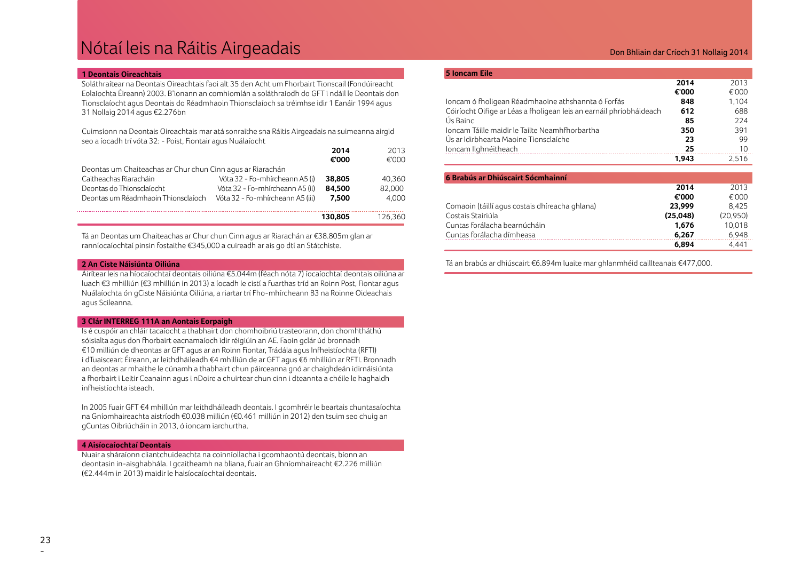### Nótaí leis na Ráitis Airgeadais

#### **1 Deontais Oireachtais**

Soláthraítear na Deontais Oireachtais faoi alt 35 den Acht um Fhorbairt Tionscail (Fondúireacht Eolaíochta Éireann) 2003. B'ionann an comhiomlán a soláthraíodh do GFT i ndáil le Deontais don Tionsclaíocht agus Deontais do Réadmhaoin Thionsclaíoch sa tréimhse idir 1 Eanáir 1994 agus 31 Nollaig 2014 agus €2.276bn

Cuimsíonn na Deontais Oireachtais mar atá sonraithe sna Ráitis Airgeadais na suimeanna airgid seo a íocadh trí vóta 32: - Poist, Fiontair agus Nuálaíocht

|                                                            |                                  | 2014    | 2013    |
|------------------------------------------------------------|----------------------------------|---------|---------|
|                                                            |                                  | €'000   | €'000   |
| Deontas um Chaiteachas ar Chur chun Cinn agus ar Riarachán |                                  |         |         |
| Caitheachas Riaracháin                                     | Vóta 32 - Fo-mhírcheann A5 (i)   | 38,805  | 40.360  |
| Deontas do Thionsclaíocht                                  | Vóta 32 - Fo-mhírcheann A5 (ii)  | 84.500  | 82,000  |
| Deontas um Réadmhaoin Thionsclaíoch                        | Vóta 32 - Fo-mhírcheann A5 (iii) | 7.500   | 4.000   |
|                                                            |                                  |         |         |
|                                                            |                                  | 130.805 | 126.360 |

Tá an Deontas um Chaiteachas ar Chur chun Cinn agus ar Riarachán ar €38.805m glan ar ranníocaíochtaí pinsin fostaithe €345,000 a cuireadh ar ais go dtí an Státchiste.

#### **2 An Ciste Náisiúnta Oiliúna**

Áirítear leis na híocaíochtaí deontais oiliúna €5.044m (féach nóta 7) íocaíochtaí deontais oiliúna ar luach €3 mhilliún (€3 mhilliún in 2013) a íocadh le cistí a fuarthas tríd an Roinn Post, Fiontar agus Nuálaíochta ón gCiste Náisiúnta Oiliúna, a riartar trí Fho-mhírcheann B3 na Roinne Oideachais agus Scileanna.

### **3 Clár INTERREG 111A an Aontais Eorpaigh**

Is é cuspóir an chláir tacaíocht a thabhairt don chomhoibriú trasteorann, don chomhtháthú sóisialta agus don fhorbairt eacnamaíoch idir réigiúin an AE. Faoin gclár úd bronnadh €10 milliún de dheontas ar GFT agus ar an Roinn Fiontar, Trádála agus Infheistíochta (RFTI) i dTuaisceart Éireann, ar leithdháileadh €4 mhilliún de ar GFT agus €6 mhilliún ar RFTI. Bronnadh an deontas ar mhaithe le cúnamh a thabhairt chun páirceanna gnó ar chaighdeán idirnáisiúnta a fhorbairt i Leitir Ceanainn agus i nDoire a chuirtear chun cinn i dteannta a chéile le haghaidh infheistíochta isteach.

In 2005 fuair GFT €4 mhilliún mar leithdháileadh deontais. I gcomhréir le beartais chuntasaíochta na Gníomhaireachta aistríodh €0.038 milliún (€0.461 milliún in 2012) den tsuim seo chuig an gCuntas Oibriúcháin in 2013, ó ioncam iarchurtha.

#### **4 Aisíocaíochtaí Deontais**

Nuair a sháraíonn cliantchuideachta na coinníollacha i gcomhaontú deontais, bíonn an deontasin in-aisghabhála. I gcaitheamh na bliana, fuair an Ghníomhaireacht €2.226 milliún (€2.444m in 2013) maidir le haisíocaíochtaí deontais.

### Don Bhliain dar Críoch 31 Nollaig 2014

| <b>5 loncam Eile</b>                                                |       |       |
|---------------------------------------------------------------------|-------|-------|
|                                                                     | 2014  | 2013  |
|                                                                     | €'000 | €'000 |
| Ioncam ó fholigean Réadmhaoine athshannta ó Forfás                  | 848   | 1.104 |
| Cóiríocht Oifige ar Léas a fholigean leis an earnáil phríobháideach | 612   | 688   |
| Ús Bainc                                                            | 85    | 224   |
| Joncam Táille maidir le Tailte Neamhfhorbartha                      | 350   | 391   |
| Ús ar Idirbhearta Maoine Tionsclaíche                               | 23    | 99    |
| Ioncam Ilghnéitheach                                                | 25    | 10    |
|                                                                     | 1.943 | 2.516 |

| 6 Brabús ar Dhiúscairt Sócmhainní              |          |           |
|------------------------------------------------|----------|-----------|
|                                                | 2014     | 2013      |
|                                                | €'000    | €'000     |
| Comaoin (táillí agus costais dhíreacha ghlana) | 23.999   | 8.425     |
| Costais Stairiúla                              | (25,048) | (20, 950) |
| Cuntas forálacha bearnúcháin                   | 1.676    | 10.018    |
| Cuntas forálacha dímheasa                      | 6.267    | 6.948     |
|                                                | 6.894    | 4.441     |

Tá an brabús ar dhiúscairt €6.894m luaite mar ghlanmhéid caillteanais €477,000.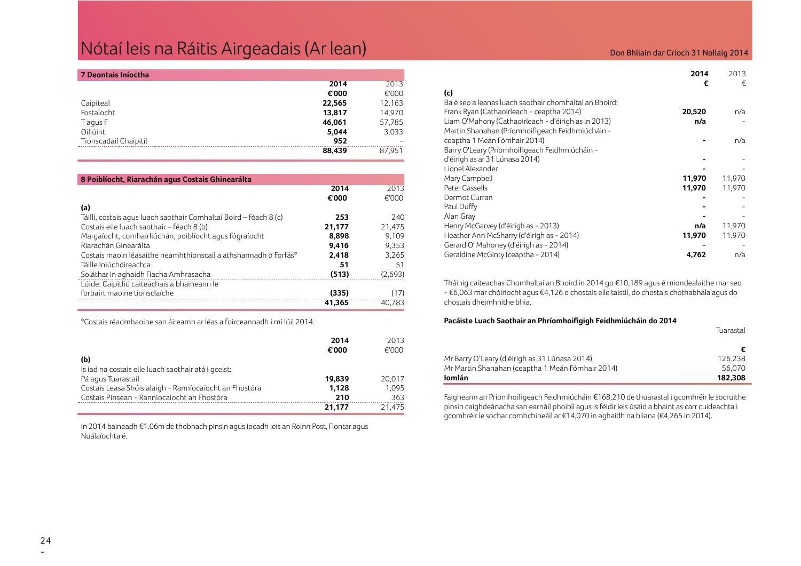### Nótaí leis na Ráitis Airgeadais (Ar lean) anns an comhainn an t-aonadh ann an t-aonadh an Críoch 31 Nollaig 2014

| 7 Deontais Iníoctha   |        |        |
|-----------------------|--------|--------|
|                       | 2014   | 2013   |
|                       | €'000  | €'000  |
| Caipiteal             | 22,565 | 12,163 |
| Fostaíocht            | 13,817 | 14,970 |
| T agus F              | 46,061 | 57,785 |
| Oiliúint              | 5,044  | 3,033  |
| Tionscadail Chaipitil | 952    |        |
|                       | 88,439 | 87.951 |

| 8 Poiblíocht, Riarachán agus Costais Ghinearálta                  |        |         |
|-------------------------------------------------------------------|--------|---------|
|                                                                   | 2014   | 2013    |
|                                                                   | €'000  | €'000   |
| (a)                                                               |        |         |
| Táillí, costais agus luach saothair Comhaltaí Boird – féach 8 (c) | 253    | 240     |
| Costais eile luach saothair - féach 8 (b)                         | 21,177 | 21,475  |
| Margaíocht, comhairliúchán, poiblíocht agus fógraíocht            | 8.898  | 9.109   |
| Riarachán Ginearálta                                              | 9.416  | 9.353   |
| Costais maoin léasaithe neamhthionscail a athshannadh ó Forfás*   | 2.418  | 3.265   |
| Táille Iniúchóireachta                                            | 51     | 51      |
| Soláthar in aghaidh Fiacha Amhrasacha                             | (513)  | (2,693) |
| Lúide: Caipitliú caiteachais a bhaineann le                       |        |         |
| forbairt maoine tionsclaíche                                      | (335)  | (17)    |
|                                                                   | 41.365 | 40.783  |

\*Costais réadmhaoine san áireamh ar léas a foirceannadh i mí Iúil 2014.

|                                                        | 2014<br>€'000 | 2013<br>€'000 |
|--------------------------------------------------------|---------------|---------------|
| (b)                                                    |               |               |
| Is iad na costais eile luach saothair atá i gceist:    |               |               |
| Pá agus Tuarastail                                     | 19.839        | 20,017        |
| Costais Leasa Shóisialaigh - Ranníocaíocht an Fhostóra | 1.128         | 1.095         |
| Costais Pinsean - Ranníocaíocht an Fhostóra            | 210           | 363           |
|                                                        | 21.177        | 21.475        |

In 2014 baineadh €1.06m de thobhach pinsin agus íocadh leis an Roinn Post, Fiontar agus Nuálaíochta é.

|                                                        | 2014   | 2013   |
|--------------------------------------------------------|--------|--------|
|                                                        | €      | €      |
| (c)                                                    |        |        |
| Ba é seo a leanas luach saothair chomhaltaí an Bhoird: |        |        |
| Frank Ryan (Cathaoirleach - ceaptha 2014)              | 20,520 | n/a    |
| Liam O'Mahony (Cathaoirleach - d'éirigh as in 2013)    | n/a    |        |
| Martin Shanahan (Príomhoifigeach Feidhmiúcháin -       |        |        |
| ceaptha 1 Meán Fómhair 2014)                           |        | n/a    |
| Barry O'Leary (Príomhoifigeach Feidhmiúcháin -         |        |        |
| d'éirigh as ar 31 Lúnasa 2014)                         |        |        |
| Lionel Alexander                                       |        |        |
| Mary Campbell                                          | 11,970 | 11,970 |
| Peter Cassells                                         | 11,970 | 11,970 |
| Dermot Curran                                          |        |        |
| Paul Duffy                                             |        |        |
| Alan Gray                                              |        |        |
| Henry McGarvey (d'éirigh as - 2013)                    | n/a    | 11,970 |
| Heather Ann McSharry (d'éirigh as - 2014)              | 11,970 | 11,970 |
| Gerard O' Mahoney (d'éirigh as - 2014)                 |        |        |
| Geraldine McGinty (ceaptha - 2014)                     | 4,762  | n/a    |

Tháinig caiteachas Chomhaltaí an Bhoird in 2014 go €10,189 agus é miondealaithe mar seo - €6,063 mar chóiríocht agus €4,126 o chostais eile taistil, do chostais chothabhála agus do chostais dheimhnithe bhia.

### **Pacáiste Luach Saothair an Phríomhoifigigh Feidhmiúcháin do 2014**

|                                                  | Tuarastal |
|--------------------------------------------------|-----------|
|                                                  |           |
| Mr Barry O'Leary (d'éirigh as 31 Lúnasa 2014)    | 126.238   |
| Mr Martin Shanahan (ceaptha 1 Meán Fómhair 2014) | 56.070    |
| Iomlán                                           | 182.308   |

Faigheann an Príomhoifigeach Feidhmiúcháin €168,210 de thuarastal i gcomhréir le socruithe pinsin caighdeánacha san earnáil phoiblí agus is féidir leis úsáid a bhaint as carr cuideachta i gcomhréir le sochar comhchineáil ar €14,070 in aghaidh na bliana (€4,265 in 2014).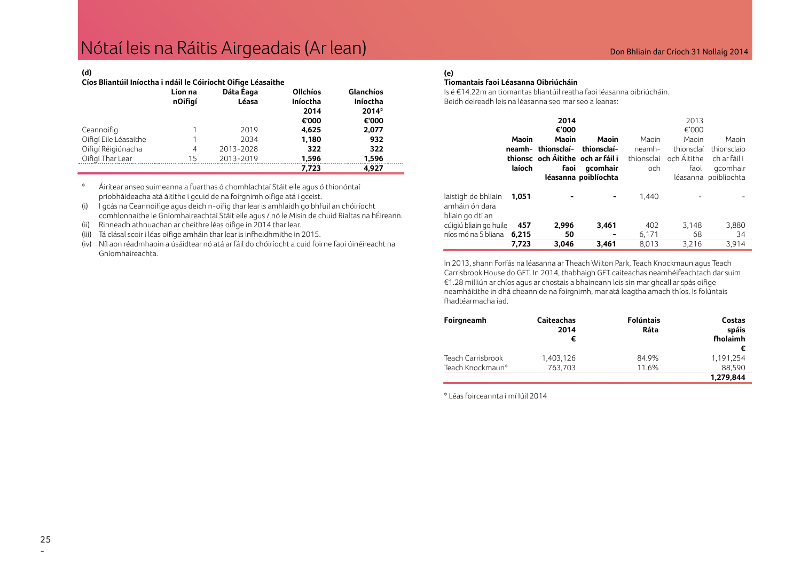### **(d)**

### **Cíos Bliantúil Iníoctha i ndáil le Cóiríocht Oifige Léasaithe**

|                       | Líon na<br>nOifigí | Dáta Eaga<br>Léasa | <b>Ollchíos</b><br>Iníoctha<br>2014<br>€'000 | Glanchíos<br>Iníoctha<br>$2014*$<br>€'000 |
|-----------------------|--------------------|--------------------|----------------------------------------------|-------------------------------------------|
| Ceannoifig            |                    | 2019               | 4,625                                        | 2,077                                     |
| Oifigí Eile Léasaithe |                    | 2034               | 1,180                                        | 932                                       |
| Oifigí Réigiúnacha    | 4                  | 2013-2028          | 322                                          | 322                                       |
| Oifigí Thar Lear      | 15                 | 2013-2019          | 1,596                                        | 1,596                                     |
|                       |                    |                    | 7,723                                        | 4,927                                     |

\* Áirítear anseo suimeanna a fuarthas ó chomhlachtaí Stáit eile agus ó thionóntaí príobháideacha atá áitithe i gcuid de na foirgnimh oifige atá i gceist.

(i) I gcás na Ceannoifige agus deich n-oifig thar lear is amhlaidh go bhfuil an chóiríocht comhlonnaithe le Gníomhaireachtaí Stáit eile agus / nó le Misin de chuid Rialtas na hÉireann.

(ii) Rinneadh athnuachan ar cheithre léas oifige in 2014 thar lear.

(iii) Tá clásal scoir i léas oifige amháin thar lear is infheidhmithe in 2015.

(iv) Níl aon réadmhaoin a úsáidtear nó atá ar fáil do chóiríocht a cuid foirne faoi úinéireacht na Gníomhaireachta.

### **(e)**

### **Tiomantais faoi Léasanna Oibriúcháin**

Is é €14.22m an tiomantas bliantúil reatha faoi léasanna oibriúcháin. Beidh deireadh leis na léasanna seo mar seo a leanas:

|                                                           |        | 2014                              |                      |            | 2013        |                      |
|-----------------------------------------------------------|--------|-----------------------------------|----------------------|------------|-------------|----------------------|
|                                                           |        | €'000                             |                      |            | €'000       |                      |
|                                                           | Maoin  | Maoin                             | Maoin                | Maoin      | Maoin       | Maoin                |
|                                                           | neamh- | thionsclaí-                       | thionsclaí-          | neamh-     | thionsclaí  | thionsclaío          |
|                                                           |        | thionsc och Áitithe och ar fáil i |                      | thionsclaí | och Áitithe | ch ar fáil i         |
|                                                           | laíoch | faoi                              | gcomhair             | och        | faoi        | gcomhair             |
|                                                           |        |                                   | léasanna poiblíochta |            |             | léasanna poiblíochta |
| laistigh de bhliain<br>amháin ón dara<br>bliain go dtí an | 1.051  |                                   |                      | 1.440      |             |                      |
| cúigiú bliain go huile                                    | 457    | 2.996                             | 3.461                | 402        | 3.148       | 3,880                |
| níos mó na 5 bliana                                       | 6.215  | 50                                |                      | 6,171      | 68          | 34                   |
|                                                           | 7.723  | 3.046                             | 3.461                | 8.013      | 3.216       | 3.914                |

In 2013, shann Forfás na léasanna ar Theach Wilton Park, Teach Knockmaun agus Teach Carrisbrook House do GFT. In 2014, thabhaigh GFT caiteachas neamhéifeachtach dar suim €1.28 milliún ar chíos agus ar chostais a bhaineann leis sin mar gheall ar spás oifige neamháitithe in dhá cheann de na foirgnimh, mar atá leagtha amach thíos. Is folúntais fhadtéarmacha iad.

| Foirgneamh                            | <b>Caiteachas</b><br>2014<br>€ | <b>Folúntais</b><br>Ráta | Costas<br>spáis<br>fholaimh           |
|---------------------------------------|--------------------------------|--------------------------|---------------------------------------|
| Teach Carrisbrook<br>Teach Knockmaun* | 1.403.126<br>763,703           | 84.9%<br>11.6%           | €<br>1.191.254<br>88.590<br>1.279.844 |

\* Léas foirceannta i mí Iúil 2014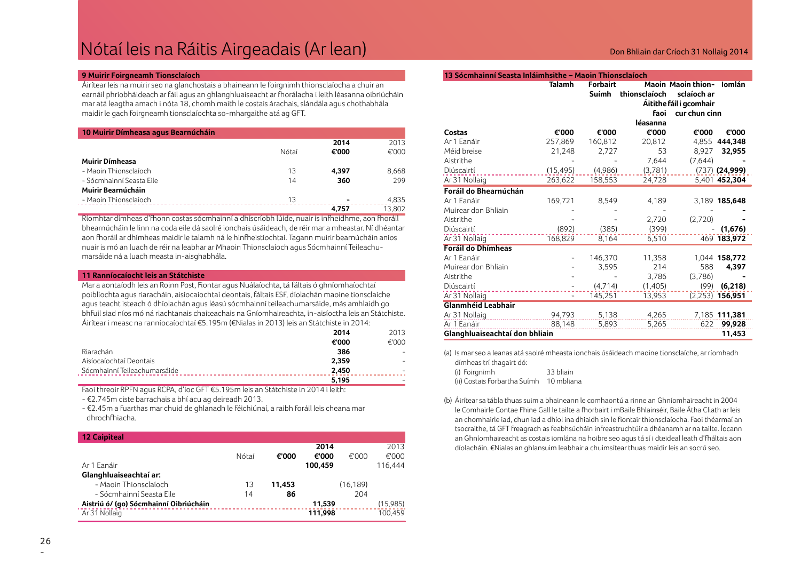### Nótaí leis na Ráitis Airgeadais (Ar lean) Don Bhliain dar Críoch 31 Nollaig 2014

#### **9 Muirir Foirgneamh Tionsclaíoch**

Áirítear leis na muirir seo na glanchostais a bhaineann le foirgnimh thionsclaíocha a chuir an earnáil phríobháideach ar fáil agus an ghlanghluaiseacht ar fhorálacha i leith léasanna oibriúcháin mar atá leagtha amach i nóta 18, chomh maith le costais árachais, slándála agus chothabhála maidir le gach foirgneamh tionsclaíochta so-mhargaithe atá ag GFT.

| 10 Muirir Dímheasa agus Bearnúcháin |       |       |        |
|-------------------------------------|-------|-------|--------|
|                                     |       | 2014  | 2013   |
|                                     | Nótaí | €'000 | €'000  |
| <b>Muirir Dímheasa</b>              |       |       |        |
| - Maoin Thionsclaíoch               | 13    | 4.397 | 8,668  |
| - Sócmhainní Seasta Eile            | 14    | 360   | 299    |
| Muirir Bearnúcháin                  |       |       |        |
| - Maoin Thionsclaíoch               | 13    |       | 4,835  |
|                                     |       | 4.757 | 13.802 |

Ríomhtar dímheas d'fhonn costas sócmhainní a dhíscríobh lúide, nuair is infheidhme, aon fhoráil bhearnúcháin le linn na coda eile dá saolré ionchais úsáideach, de réir mar a mheastar. Ní dhéantar aon fhoráil ar dhímheas maidir le talamh ná le hinfheistíochtaí. Tagann muirir bearnúcháin aníos nuair is mó an luach de réir na leabhar ar Mhaoin Thionsclaíoch agus Sócmhainní Teileachumarsáide ná a luach measta in-aisghabhála.

#### **11 Ranníocaíocht leis an Státchiste**

Mar a aontaíodh leis an Roinn Post, Fiontar agus Nuálaíochta, tá fáltais ó ghníomhaíochtaí poiblíochta agus riaracháin, aisíocaíochtaí deontais, fáltais ESF, díolachán maoine tionsclaíche agus teacht isteach ó dhíolachán agus léasú sócmhainní teileachumarsáide, más amhlaidh go bhfuil siad níos mó ná riachtanais chaiteachais na Gníomhaireachta, in-aisíoctha leis an Státchiste. Áirítear i measc na ranníocaíochtaí €5.195m (€Nialas in 2013) leis an Státchiste in 2014:

|                              | 2014  | 2013  |
|------------------------------|-------|-------|
|                              | €'000 | €'000 |
| Riarachán                    | 386   |       |
| Aisíocaíochtaí Deontais      | 2.359 |       |
| Sócmhainní Teileachumarsáide | 2.450 |       |
|                              | 5.195 |       |

Faoi threoir RPFN agus RCPA, d'íoc GFT €5.195m leis an Státchiste in 2014 i leith:

- €2.745m ciste barrachais a bhí acu ag deireadh 2013.

- €2.45m a fuarthas mar chuid de ghlanadh le féichiúnaí, a raibh foráil leis cheana mar dhrochfhiacha.

| <b>12 Caipiteal</b>                    |       |        |         |           |          |
|----------------------------------------|-------|--------|---------|-----------|----------|
|                                        |       |        | 2014    |           | 2013     |
|                                        | Nótaí | €'000  | €'000   | €'000     | €'000    |
| Ar 1 Eanáir                            |       |        | 100.459 |           | 116.444  |
| Glanghluaiseachtaí ar:                 |       |        |         |           |          |
| - Maoin Thionsclaíoch                  | 13    | 11,453 |         | (16, 189) |          |
| - Sócmhainní Seasta Eile               | 14    | 86     |         | 204       |          |
| Aistriú ó/ (go) Sócmhainní Oibriúcháin |       |        | 11.539  |           | (15,985) |
| Ar 31 Nollaig                          |       |        | 111.998 |           | 100.459  |

#### **13 Sócmhainní Seasta Inláimhsithe – Maoin Thionsclaíoch**

|                                | <b>Talamh</b> | <b>Forbairt</b> |               | <b>Maoin Maoin thion-</b> | <b>lomlán</b>     |
|--------------------------------|---------------|-----------------|---------------|---------------------------|-------------------|
|                                |               | Suímh           | thionsclaíoch | sclaíoch ar               |                   |
|                                |               |                 |               | Áitithe fáil i gcomhair   |                   |
|                                |               |                 | faoi          | cur chun cinn             |                   |
|                                |               |                 | léasanna      |                           |                   |
| Costas                         | €'000         | €'000           | €'000         | €'000                     | €'000             |
| Ar 1 Eanáir                    | 257,869       | 160,812         | 20,812        | 4,855                     | 444,348           |
| Méid breise                    | 21,248        | 2,727           | 53            | 8,927                     | 32,955            |
| Aistrithe                      |               |                 | 7,644         | (7,644)                   |                   |
| Diúscairtí                     | (15, 495)     | (4,986)         | (3,781)       |                           | $(737)$ (24,999)  |
| Ar 31 Nollaig                  | 263,622       | 158,553         | 24,728        |                           | 5,401 452,304     |
| Foráil do Bhearnúchán          |               |                 |               |                           |                   |
| Ar 1 Eanáir                    | 169,721       | 8,549           | 4,189         |                           | 3,189 185,648     |
| Muirear don Bhliain            |               |                 |               |                           |                   |
| Aistrithe                      |               |                 | 2,720         | (2,720)                   |                   |
| Diúscairtí                     | (892)         | (385)           | (399)         |                           | (1,676)           |
| Ar 31 Nollaig                  | 168,829       | 8,164           | 6,510         |                           | 469 183,972       |
| <b>Foráil do Dhímheas</b>      |               |                 |               |                           |                   |
| Ar 1 Eanáir                    |               | 146,370         | 11,358        |                           | 1,044 158,772     |
| Muirear don Bhliain            |               | 3,595           | 214           | 588                       | 4.397             |
| Aistrithe                      |               |                 | 3,786         | (3.786)                   |                   |
| Diúscairtí                     |               | (4,714)         | (1,405)       | (99)                      | (6,218)           |
| Ar 31 Nollaig                  |               | 145,251         | 13,953        |                           | $(2,253)$ 156,951 |
| <b>Glanmhéid Leabhair</b>      |               |                 |               |                           |                   |
| Ar 31 Nollaig                  | 94,793        | 5,138           | 4,265         |                           | 7,185 111,381     |
| Ar 1 Eanáir                    | 88,148        | 5,893           | 5,265         | 622                       | 99,928            |
| Glanghluaiseachtaí don bhliain |               |                 |               |                           | 11,453            |

(a) Is mar seo a leanas atá saolré mheasta ionchais úsáideach maoine tionsclaíche, ar ríomhadh dímheas trí thagairt dó:

| (i) Foirgnimh                | 33 bliain  |
|------------------------------|------------|
| (ii) Costais Forbartha Suímh | 10 mbliana |

(b) Áirítear sa tábla thuas suim a bhaineann le comhaontú a rinne an Ghníomhaireacht in 2004 le Comhairle Contae Fhine Gall le tailte a fhorbairt i mBaile Bhlainséir, Baile Átha Cliath ar leis an chomhairle iad, chun iad a dhíol ina dhiaidh sin le fiontair thionsclaíocha. Faoi théarmaí an tsocraithe, tá GFT freagrach as feabhsúcháin infreastruchtúir a dhéanamh ar na tailte. Íocann an Ghníomhaireacht as costais iomlána na hoibre seo agus tá sí i dteideal leath d'fháltais aon díolacháin. €Nialas an ghlansuim leabhair a chuimsítear thuas maidir leis an socrú seo.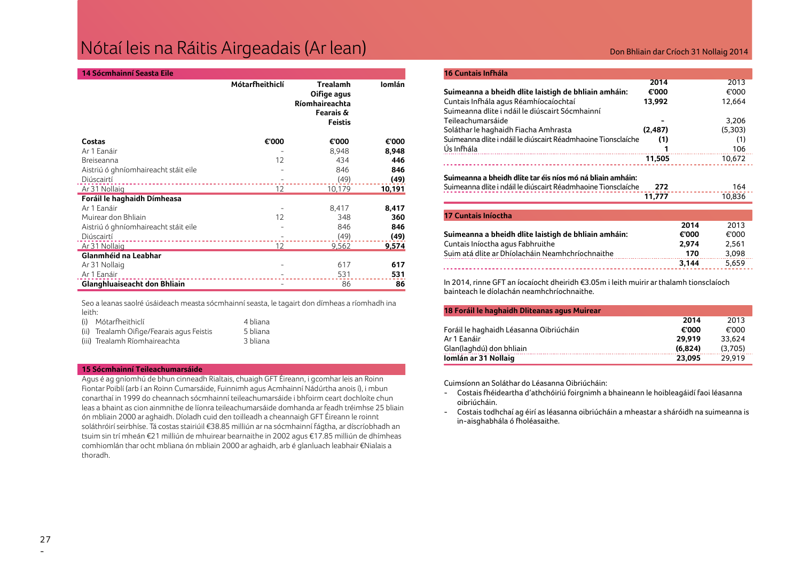### Nótaí leis na Ráitis Airgeadais (Ar lean)

| <b>14 Sócmhainní Seasta Eile</b> |  |
|----------------------------------|--|

|                                      | Mótarfheithiclí | <b>Trealamh</b><br>Oifige agus<br>Ríomhaireachta<br>Fearais &<br><b>Feistis</b> | Iomlán |
|--------------------------------------|-----------------|---------------------------------------------------------------------------------|--------|
| Costas                               | €'000           | €'000                                                                           | €'000  |
| Ar 1 Eanáir                          |                 | 8,948                                                                           | 8,948  |
| Breiseanna                           | 12              | 434                                                                             | 446    |
| Aistriú ó ghníomhaireacht stáit eile |                 | 846                                                                             | 846    |
| Diúscairtí                           |                 | (49)                                                                            | (49)   |
| Ar 31 Nollaig                        | 12              | 10,179                                                                          | 10,191 |
| Foráil le haghaidh Dímheasa          |                 |                                                                                 |        |
| Ar 1 Eanáir                          |                 | 8,417                                                                           | 8,417  |
| Muirear don Bhliain                  | 12              | 348                                                                             | 360    |
| Aistriú ó ghníomhaireacht stáit eile |                 | 846                                                                             | 846    |
| Diúscairtí                           |                 | (49)                                                                            | (49)   |
| Ar 31 Nollaig                        | 12              | 9,562                                                                           | 9,574  |
| Glanmhéid na Leabhar                 |                 |                                                                                 |        |
| Ar 31 Nollaig                        |                 | 617                                                                             | 617    |
| Ar 1 Eanáir                          |                 | 531                                                                             | 531    |
| Glanghluaiseacht don Bhliain         |                 | 86                                                                              | 86     |

Seo a leanas saolré úsáideach measta sócmhainní seasta, le tagairt don dímheas a ríomhadh ina leith:

| (i) Mótarfheithiclí                       | 4 bliana |
|-------------------------------------------|----------|
| (ii) Trealamh Oifige/Fearais agus Feistis | 5 bliana |
| (iii) Trealamh Ríomhaireachta             | 3 bliana |

### **15 Sócmhainní Teileachumarsáide**

Agus é ag gníomhú de bhun cinneadh Rialtais, chuaigh GFT Éireann, i gcomhar leis an Roinn Fiontar Poiblí (arb í an Roinn Cumarsáide, Fuinnimh agus Acmhainní Nádúrtha anois í), i mbun conarthaí in 1999 do cheannach sócmhainní teileachumarsáide i bhfoirm ceart dochloíte chun leas a bhaint as cion ainmnithe de líonra teileachumarsáide domhanda ar feadh tréimhse 25 bliain ón mbliain 2000 ar aghaidh. Díoladh cuid den toilleadh a cheannaigh GFT Éireann le roinnt soláthróirí seirbhíse. Tá costas stairiúil €38.85 milliún ar na sócmhainní fágtha, ar díscríobhadh an tsuim sin trí mheán €21 milliún de mhuirear bearnaithe in 2002 agus €17.85 milliún de dhímheas comhiomlán thar ocht mbliana ón mbliain 2000 ar aghaidh, arb é glanluach leabhair €Nialais a thoradh.

### Don Bhliain dar Críoch 31 Nollaig 2014

| 16 Cuntais Infhála                                                                                                          |          |         |
|-----------------------------------------------------------------------------------------------------------------------------|----------|---------|
|                                                                                                                             | 2014     | 2013    |
| Suimeanna a bheidh dlite laistigh de bhliain amháin:                                                                        | €'000    | €'000   |
| Cuntais Infhála agus Réamhíocaíochtaí                                                                                       | 13.992   | 12.664  |
| Suimeanna dlite i ndáil le diúscairt Sócmhainní                                                                             |          |         |
| Teileachumarsáide                                                                                                           |          | 3,206   |
| Soláthar le haghaidh Fiacha Amhrasta                                                                                        | (2, 487) | (5,303) |
| Suimeanna dlite i ndáil le diúscairt Réadmhaoine Tionsclaíche                                                               | (1)      | (1)     |
| Ús Infhála                                                                                                                  |          | 106     |
|                                                                                                                             | 11,505   | 10.672  |
| Suimeanna a bheidh dlite tar éis níos mó ná bliain amháin:<br>Suimeanna dlite i ndáil le diúscairt Réadmhaoine Tionsclaíche | 272      | 164     |
|                                                                                                                             | 11.777   | 10.836  |

| 17 Cuntais Iníoctha                                  |       |       |
|------------------------------------------------------|-------|-------|
|                                                      | 2014  | 2013  |
| Suimeanna a bheidh dlite laistigh de bhliain amháin: | €'000 | €'000 |
| Cuntais Iníoctha agus Fabhruithe                     | 2.974 | 2.561 |
| Suim atá dlite ar Dhíolacháin Neamhchríochnaithe     | 170   | 3.098 |
|                                                      | 3.144 | 5.659 |

In 2014, rinne GFT an íocaíocht dheiridh €3.05m i leith muirir ar thalamh tionsclaíoch bainteach le díolachán neamhchríochnaithe.

| 18 Foráil le haghaidh Dliteanas agus Muirear |         |         |
|----------------------------------------------|---------|---------|
|                                              | 2014    | 2013    |
| Foráil le haghaidh Léasanna Oibriúcháin      | €'000   | €'000   |
| Ar 1 Eanáir                                  | 29.919  | 33.624  |
| Glan(laghdú) don bhliain                     | (6.824) | (3.705) |
| Iomlán ar 31 Nollaig                         | 23.095  | 29.919  |

Cuimsíonn an Soláthar do Léasanna Oibriúcháin:

- Costais fhéideartha d'athchóiriú foirgnimh a bhaineann le hoibleagáidí faoi léasanna oibriúcháin.
- Costais todhchaí ag éirí as léasanna oibriúcháin a mheastar a sháróidh na suimeanna is in-aisghabhála ó fholéasaithe.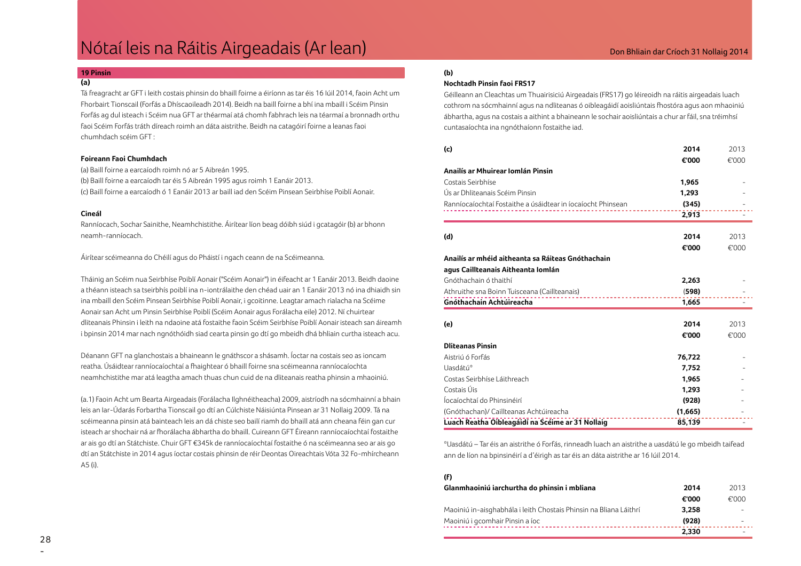### Nótaí leis na Ráitis Airgeadais (Ar lean)

### Don Bhliain dar Críoch 31 Nollaig 2014

#### **19 Pinsin (a)**

Tá freagracht ar GFT i leith costais phinsin do bhaill foirne a éiríonn as tar éis 16 Iúil 2014, faoin Acht um Fhorbairt Tionscail (Forfás a Dhíscaoileadh 2014). Beidh na baill foirne a bhí ina mbaill i Scéim Pinsin Forfás ag dul isteach i Scéim nua GFT ar théarmaí atá chomh fabhrach leis na téarmaí a bronnadh orthu faoi Scéim Forfás tráth díreach roimh an dáta aistrithe. Beidh na catagóirí foirne a leanas faoi chumhdach scéim GFT :

### **Foireann Faoi Chumhdach**

(a) Baill foirne a earcaíodh roimh nó ar 5 Aibreán 1995. (b) Baill foirne a earcaíodh tar éis 5 Aibreán 1995 agus roimh 1 Eanáir 2013. (c) Baill foirne a earcaíodh ó 1 Eanáir 2013 ar baill iad den Scéim Pinsean Seirbhíse Poiblí Aonair.

#### **Cineál**

Ranníocach, Sochar Sainithe, Neamhchistithe. Áirítear líon beag dóibh siúd i gcatagóir (b) ar bhonn neamh-ranníocach.

Áirítear scéimeanna do Chéilí agus do Pháistí i ngach ceann de na Scéimeanna.

Tháinig an Scéim nua Seirbhíse Poiblí Aonair ("Scéim Aonair") in éifeacht ar 1 Eanáir 2013. Beidh daoine a théann isteach sa tseirbhís poiblí ina n-iontrálaithe den chéad uair an 1 Eanáir 2013 nó ina dhiaidh sin ina mbaill den Scéim Pinsean Seirbhíse Poiblí Aonair, i gcoitinne. Leagtar amach rialacha na Scéime Aonair san Acht um Pinsin Seirbhíse Poiblí (Scéim Aonair agus Forálacha eile) 2012. Ní chuirtear dliteanais Phinsin i leith na ndaoine atá fostaithe faoin Scéim Seirbhíse Poiblí Aonair isteach san áireamh i bpinsin 2014 mar nach ngnóthóidh siad cearta pinsin go dtí go mbeidh dhá bhliain curtha isteach acu.

Déanann GFT na glanchostais a bhaineann le gnáthscor a shásamh. Íoctar na costais seo as ioncam reatha. Úsáidtear ranníocaíochtaí a fhaightear ó bhaill foirne sna scéimeanna ranníocaíochta neamhchistithe mar atá leagtha amach thuas chun cuid de na dliteanais reatha phinsin a mhaoiniú.

(a.1) Faoin Acht um Bearta Airgeadais (Forálacha Ilghnéitheacha) 2009, aistríodh na sócmhainní a bhain leis an Iar-Údarás Forbartha Tionscail go dtí an Cúlchiste Náisiúnta Pinsean ar 31 Nollaig 2009. Tá na scéimeanna pinsin atá bainteach leis an dá chiste seo bailí riamh do bhaill atá ann cheana féin gan cur isteach ar shochair ná ar fhorálacha ábhartha do bhaill. Cuireann GFT Éireann ranníocaíochtaí fostaithe ar ais go dtí an Státchiste. Chuir GFT €345k de ranníocaíochtaí fostaithe ó na scéimeanna seo ar ais go dtí an Státchiste in 2014 agus íoctar costais phinsin de réir Deontas Oireachtais Vóta 32 Fo-mhírcheann A5 (i).

### **(b)**

### **Nochtadh Pinsin faoi FRS17**

Géilleann an Cleachtas um Thuairisiciú Airgeadais (FRS17) go léireoidh na ráitis airgeadais luach cothrom na sócmhainní agus na ndliteanas ó oibleagáidí aoisliúntais fhostóra agus aon mhaoiniú ábhartha, agus na costais a aithint a bhaineann le sochair aoisliúntais a chur ar fáil, sna tréimhsí cuntasaíochta ina ngnóthaíonn fostaithe iad.

| (c)                                                          | 2014    | 2013  |
|--------------------------------------------------------------|---------|-------|
| Anailís ar Mhuirear Iomlán Pinsin                            | €'000   | €'000 |
|                                                              |         |       |
| Costais Seirbhíse                                            | 1,965   |       |
| Ús ar Dhliteanais Scéim Pinsin                               | 1,293   |       |
| Ranníocaíochtaí Fostaithe a úsáidtear in íocaíocht Phinsean  | (345)   |       |
|                                                              | 2,913   |       |
| (d)                                                          | 2014    | 2013  |
|                                                              |         |       |
|                                                              | €'000   | €'000 |
| Anailís ar mhéid aitheanta sa Ráiteas Gnóthachain            |         |       |
| agus Caillteanais Aitheanta Iomlán                           |         |       |
| Gnóthachain ó thaithí                                        | 2,263   |       |
| Athruithe sna Boinn Tuisceana (Caillteanais)<br>. <u>.</u> . | (598)   |       |
| Gnóthachain Achtúireacha                                     | 1,665   |       |
|                                                              |         |       |
| (e)                                                          | 2014    | 2013  |
|                                                              | €'000   | €'000 |
| <b>Dliteanas Pinsin</b>                                      |         |       |
| Aistriú ó Forfás                                             | 76,722  |       |
| Uasdátú*                                                     | 7,752   |       |
| Costas Seirbhíse Láithreach                                  | 1,965   |       |
| Costais Úis                                                  | 1,293   |       |
| Íocaíochtaí do Phinsinéirí                                   | (928)   |       |
| (Gnóthachan)/ Caillteanas Achtúireacha                       | (1,665) |       |
| Luach Reatha Oibleagáidí na Scéime ar 31 Nollaig             | 85,139  |       |

\*Uasdátú – Tar éis an aistrithe ó Forfás, rinneadh luach an aistrithe a uasdátú le go mbeidh taifead ann de líon na bpinsinéirí a d'éirigh as tar éis an dáta aistrithe ar 16 Iúil 2014.

### **(f)**

| Glanmhaoiniú iarchurtha do phinsin i mbliana                      | 2014  | 2013                     |
|-------------------------------------------------------------------|-------|--------------------------|
|                                                                   | €'000 | €'000                    |
| Maoiniú in-aisghabhála i leith Chostais Phinsin na Bliana Láithrí | 3.258 | $\overline{\phantom{0}}$ |
| Maoiniú i gcomhair Pinsin a íoc                                   | (928) | -                        |
|                                                                   | 2.330 |                          |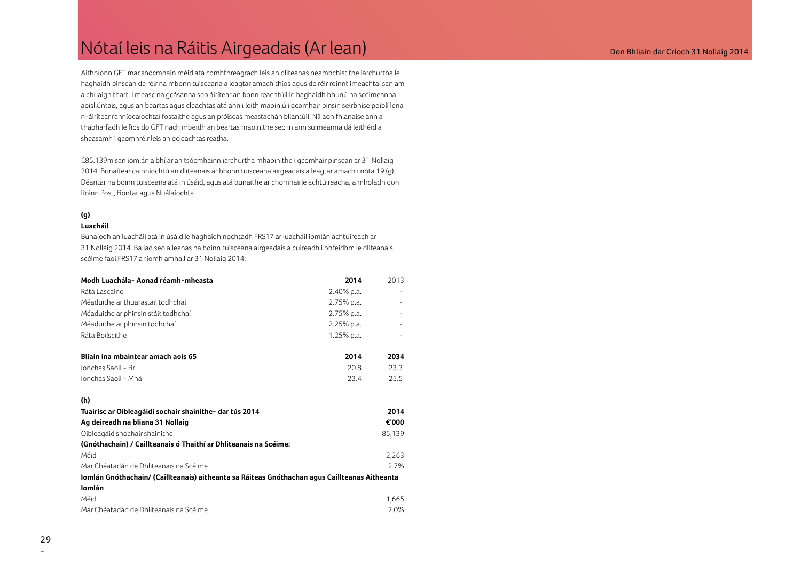### Nótaí leis na Ráitis Airgeadais (Ar lean) anns an comhainn an críoch 31 Nollaig 2014

Aithníonn GFT mar shócmhain méid atá comhfhreagrach leis an dliteanas neamhchistithe iarchurtha le haghaidh pinsean de réir na mbonn tuisceana a leagtar amach thíos agus de réir roinnt imeachtaí san am a chuaigh thart. I measc na gcásanna seo áirítear an bonn reachtúil le haghaidh bhunú na scéimeanna aoisliúntais, agus an beartas agus cleachtas atá ann i leith maoiniú i gcomhair pinsin seirbhíse poiblí lena n-áirítear ranníocaíochtaí fostaithe agus an próiseas meastachán bliantúil. Níl aon fhianaise ann a thabharfadh le fios do GFT nach mbeidh an beartas maoinithe seo in ann suimeanna dá leithéid a sheasamh i gcomhréir leis an gcleachtas reatha.

€85.139m san iomlán a bhí ar an tsócmhainn iarchurtha mhaoinithe i gcomhair pinsean ar 31 Nollaig 2014. Bunaítear cainníochtú an dliteanais ar bhonn tuisceana airgeadais a leagtar amach i nóta 19 (g). Déantar na boinn tuisceana atá in úsáid, agus atá bunaithe ar chomhairle achtúireacha, a mholadh don Roinn Post, Fiontar agus Nuálaíochta.

### **(g)**

### **Luacháil**

 Bunaíodh an luacháil atá in úsáid le haghaidh nochtadh FRS17 ar luacháil iomlán achtúireach ar 31 Nollaig 2014. Ba iad seo a leanas na boinn tuisceana airgeadais a cuireadh i bhfeidhm le dliteanais scéime faoi FRS17 a ríomh amhail ar 31 Nollaig 2014;

| Modh Luachála- Aonad réamh-mheasta                               | 2014       | 2013   |
|------------------------------------------------------------------|------------|--------|
| Ráta Lascaine                                                    | 2.40% p.a. |        |
| Méaduithe ar thuarastail todhchaí                                | 2.75% p.a. |        |
| Méaduithe ar phinsin stáit todhchaí                              | 2.75% p.a. |        |
| Méaduithe ar phinsin todhchaí                                    | 2.25% p.a. |        |
| Ráta Boilscithe                                                  | 1.25% p.a. |        |
| Bliain ina mbaintear amach aois 65                               | 2014       | 2034   |
| Ionchas Saoil - Fir                                              | 20.8       | 23.3   |
| Ionchas Saoil - Mná                                              | 23.4       | 25.5   |
| (h)                                                              |            |        |
| Tuairisc ar Oibleagáidí sochair shainithe- dar tús 2014          |            | 2014   |
| Ag deireadh na bliana 31 Nollaig                                 |            | €'000  |
| Oibleagáid shochair shainithe                                    |            | 85,139 |
| (Gnóthachain) / Caillteanais ó Thaithí ar Dhliteanais na Scéime: |            |        |
| Méid                                                             |            | 2,263  |

### Mar Chéatadán de Dhliteanais na Scéime 2008 agus an t-aisceoir 2008 agus 2008 agus 2008 agus 2008 agus 2008 ag **Iomlán Gnóthachain/ (Caillteanais) aitheanta sa Ráiteas Gnóthachan agus Caillteanas Aitheanta Iomlán** Méid 1,665

| Méid                                   | 1.665 |
|----------------------------------------|-------|
| Mar Chéatadán de Dhliteanais na Scéime | 2.0%  |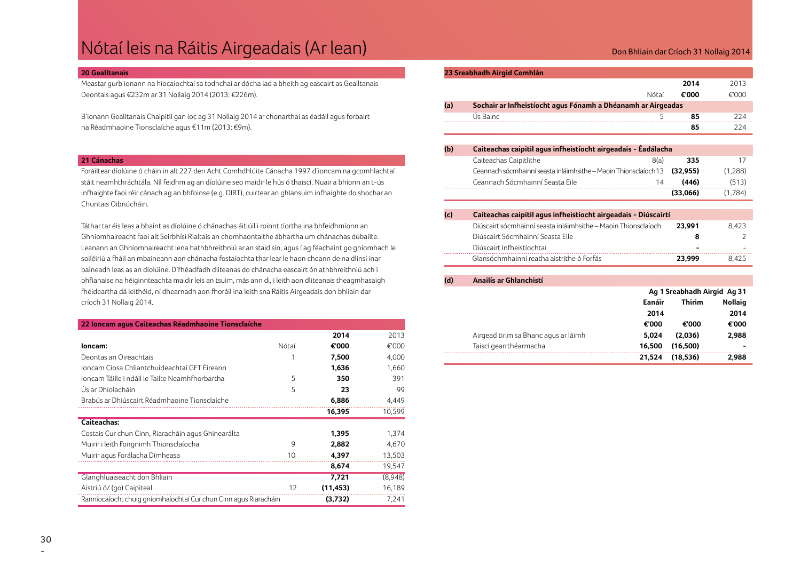### Nótaí leis na Ráitis Airgeadais (Ar lean) anns an comhainn an críoch 31 Nollaig 2014

#### **20 Gealltanais**

Meastar gurb ionann na híocaíochtaí sa todhchaí ar dócha iad a bheith ag eascairt as Gealltanais Deontais agus €232m ar 31 Nollaig 2014 (2013: €226m).

B'ionann Gealltanais Chaipitil gan íoc ag 31 Nollaig 2014 ar chonarthaí as éadáil agus forbairt na Réadmhaoine Tionsclaíche agus €11m (2013: €9m).

### **21 Cánachas**

Foráiltear díolúine ó cháin in alt 227 den Acht Comhdhlúite Cánacha 1997 d'ioncam na gcomhlachtaí stáit neamhthráchtála. Níl feidhm ag an díolúine seo maidir le hús ó thaiscí. Nuair a bhíonn an t-ús infhaighte faoi réir cánach ag an bhfoinse (e.g. DIRT), cuirtear an ghlansuim infhaighte do shochar an Chuntais Oibriúcháin.

Táthar tar éis leas a bhaint as díolúine ó chánachas áitiúil i roinnt tíortha ina bhfeidhmíonn an Ghníomhaireacht faoi alt Seirbhísí Rialtais an chomhaontaithe ábhartha um chánachas dúbailte. Leanann an Ghníomhaireacht lena hathbhreithniú ar an staid sin, agus í ag féachaint go gníomhach le soiléiriú a fháil an mbaineann aon chánacha fostaíochta thar lear le haon cheann de na dlínsí inar baineadh leas as an díolúine. D'fhéadfadh dliteanas do chánacha eascairt ón athbhreithniú ach i bhfianaise na héiginnteachta maidir leis an tsuim, más ann di, i leith aon dliteanais theagmhasaigh fhéideartha dá leithéid, ní dhearnadh aon fhoráil ina leith sna Ráitis Airgeadais don bhliain dar críoch 31 Nollaig 2014.

| 22 Ioncam agus Caiteachas Réadmhaoine Tionsclaíche               |       |           |         |  |
|------------------------------------------------------------------|-------|-----------|---------|--|
|                                                                  |       | 2014      | 2013    |  |
| loncam:                                                          | Nótaí | €'000     | €'000   |  |
| Deontas an Oireachtais                                           |       | 7,500     | 4,000   |  |
| Joncam Cíosa Chliantchuideachtaí GFT Éireann                     |       | 1,636     | 1,660   |  |
| Joncam Táille i ndáil le Tailte Neamhfhorbartha                  | 5     | 350       | 391     |  |
| Ús ar Dhíolacháin                                                | 5     | 23        | 99      |  |
| Brabús ar Dhiúscairt Réadmhaoine Tionsclaíche                    |       | 6,886     | 4,449   |  |
|                                                                  |       | 16,395    | 10,599  |  |
| Caiteachas:                                                      |       |           |         |  |
| Costais Cur chun Cinn, Riaracháin agus Ghinearálta               |       | 1,395     | 1,374   |  |
| Muirir i leith Foirgnimh Thionsclaíocha                          | 9     | 2,882     | 4,670   |  |
| Muirir agus Forálacha Dímheasa                                   | 10    | 4,397     | 13,503  |  |
|                                                                  |       | 8,674     | 19,547  |  |
| Glanghluaiseacht don Bhliain                                     |       | 7,721     | (8,948) |  |
| Aistriú ó/ (go) Caipiteal                                        | 12    | (11, 453) | 16,189  |  |
| Ranníocaíocht chuig gníomhaíochtaí Cur chun Cinn agus Riaracháin |       | (3,732)   | 7,241   |  |

#### **23 Sreabhadh Airgid Comhlán**

|     |                                                              |       | 2014  | 2013  |
|-----|--------------------------------------------------------------|-------|-------|-------|
|     |                                                              | Nótaí | €'000 | €'000 |
| (a) | Sochair ar Infheistíocht agus Fónamh a Dhéanamh ar Airgeadas |       |       |       |
|     | Ús Bainc                                                     |       | 85    | 224   |
|     |                                                              |       | 85    | 224   |

| (b) | Caiteachas caipitil agus infheistíocht airgeadais - Éadálacha             |          |         |  |
|-----|---------------------------------------------------------------------------|----------|---------|--|
|     | Caiteachas Caipitlithe<br>8(a)                                            | 335      | 17      |  |
|     | Ceannach sócmhainní seasta inláimhsithe – Maoin Thionsclaíoch 13 (32,955) |          | (1,288) |  |
|     | Ceannach Sócmhainní Seasta Eile<br>14                                     | (446)    | (513)   |  |
|     |                                                                           | (33.066) | (1.784) |  |

#### **(c) Caiteachas caipitil agus infheistíocht airgeadais - Diúscairtí**

| Diúscairt sócmhainní seasta inláimhsithe - Maoin Thionsclaíoch | 23.991 | 8.423 |
|----------------------------------------------------------------|--------|-------|
| Diúscairt Sócmhainní Seasta Eile                               |        |       |
| Diúscairt Infheistíochtaí                                      | -      |       |
| Glansóchmhainní reatha aistrithe ó Forfás                      | 23.999 | 8.425 |

### **(d) Anailís ar Ghlanchistí Ag 1 Sreabhadh Airgid Ag 31 Eanáir Thirim Nollaig**

|                                      | 2014   |          | 2014                     |
|--------------------------------------|--------|----------|--------------------------|
|                                      | €'000  | €'000    | €'000                    |
| Airgead tirim sa Bhanc agus ar láimh | 5.024  | (2.036)  | 2.988                    |
| Taiscí gearrthéarmacha               | 16.500 | (16.500) | $\overline{\phantom{0}}$ |
|                                      | 21.524 | (18.536) | 2.988                    |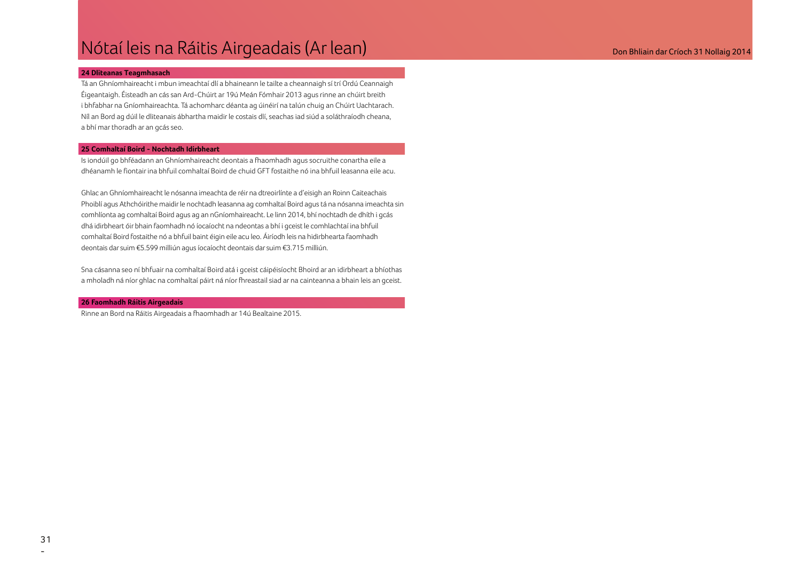### Nótaí leis na Ráitis Airgeadais (Ar lean) anns an comhainn an t-aonadh ann an t-aonadh an Críoch 31 Nollaig 2014

### **24 Dliteanas Teagmhasach**

Tá an Ghníomhaireacht i mbun imeachtaí dlí a bhaineann le tailte a cheannaigh sí trí Ordú Ceannaigh Éigeantaigh. Éisteadh an cás san Ard-Chúirt ar 19ú Meán Fómhair 2013 agus rinne an chúirt breith i bhfabhar na Gníomhaireachta. Tá achomharc déanta ag úinéirí na talún chuig an Chúirt Uachtarach. Níl an Bord ag dúil le dliteanais ábhartha maidir le costais dlí, seachas iad siúd a soláthraíodh cheana, a bhí mar thoradh ar an gcás seo.

#### **25 Comhaltaí Boird - Nochtadh Idirbheart**

Is iondúil go bhféadann an Ghníomhaireacht deontais a fhaomhadh agus socruithe conartha eile a dhéanamh le fiontair ina bhfuil comhaltaí Boird de chuid GFT fostaithe nó ina bhfuil leasanna eile acu.

Ghlac an Ghníomhaireacht le nósanna imeachta de réir na dtreoirlínte a d'eisigh an Roinn Caiteachais Phoiblí agus Athchóirithe maidir le nochtadh leasanna ag comhaltaí Boird agus tá na nósanna imeachta sin comhlíonta ag comhaltaí Boird agus ag an nGníomhaireacht. Le linn 2014, bhí nochtadh de dhíth i gcás dhá idirbheart óir bhain faomhadh nó íocaíocht na ndeontas a bhí i gceist le comhlachtaí ina bhfuil comhaltaí Boird fostaithe nó a bhfuil baint éigin eile acu leo. Áiríodh leis na hidirbhearta faomhadh deontais dar suim €5.599 milliún agus íocaíocht deontais dar suim €3.715 milliún.

Sna cásanna seo ní bhfuair na comhaltaí Boird atá i gceist cáipéisíocht Bhoird ar an idirbheart a bhíothas a mholadh ná níor ghlac na comhaltaí páirt ná níor fhreastail siad ar na cainteanna a bhain leis an gceist.

#### **26 Faomhadh Ráitis Airgeadais**

Rinne an Bord na Ráitis Airgeadais a fhaomhadh ar 14ú Bealtaine 2015.